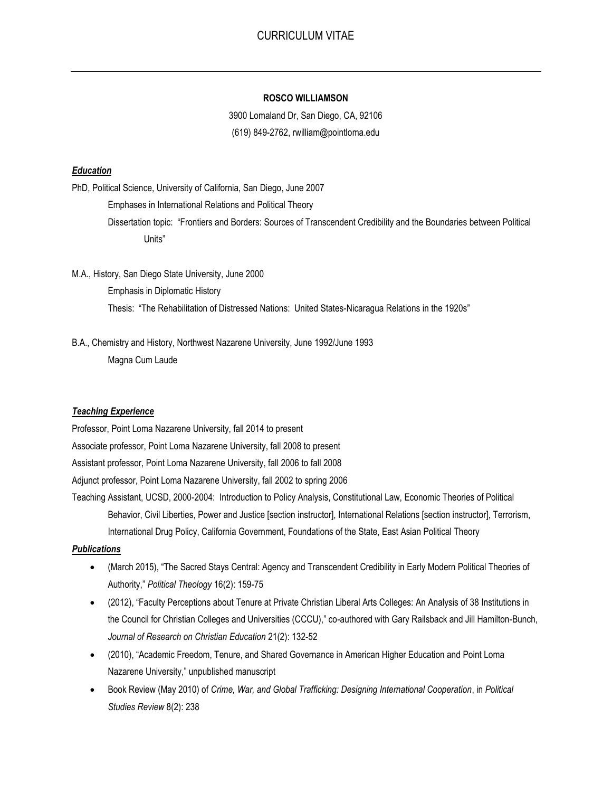# **ROSCO WILLIAMSON**

3900 Lomaland Dr, San Diego, CA, 92106 (619) 849-2762, rwilliam@pointloma.edu

# *Education*

PhD, Political Science, University of California, San Diego, June 2007

Emphases in International Relations and Political Theory

Dissertation topic: "Frontiers and Borders: Sources of Transcendent Credibility and the Boundaries between Political Units"

M.A., History, San Diego State University, June 2000 Emphasis in Diplomatic History Thesis: "The Rehabilitation of Distressed Nations: United States-Nicaragua Relations in the 1920s"

B.A., Chemistry and History, Northwest Nazarene University, June 1992/June 1993 Magna Cum Laude

## *Teaching Experience*

Professor, Point Loma Nazarene University, fall 2014 to present

Associate professor, Point Loma Nazarene University, fall 2008 to present

Assistant professor, Point Loma Nazarene University, fall 2006 to fall 2008

Adjunct professor, Point Loma Nazarene University, fall 2002 to spring 2006

Teaching Assistant, UCSD, 2000-2004: Introduction to Policy Analysis, Constitutional Law, Economic Theories of Political Behavior, Civil Liberties, Power and Justice [section instructor], International Relations [section instructor], Terrorism, International Drug Policy, California Government, Foundations of the State, East Asian Political Theory

# *Publications*

- (March 2015), "The Sacred Stays Central: Agency and Transcendent Credibility in Early Modern Political Theories of Authority," *Political Theology* 16(2): 159-75
- (2012), "Faculty Perceptions about Tenure at Private Christian Liberal Arts Colleges: An Analysis of 38 Institutions in the Council for Christian Colleges and Universities (CCCU)," co-authored with Gary Railsback and Jill Hamilton-Bunch, *Journal of Research on Christian Education* 21(2): 132-52
- (2010), "Academic Freedom, Tenure, and Shared Governance in American Higher Education and Point Loma Nazarene University," unpublished manuscript
- Book Review (May 2010) of *Crime, War, and Global Trafficking: Designing International Cooperation*, in *Political Studies Review* 8(2): 238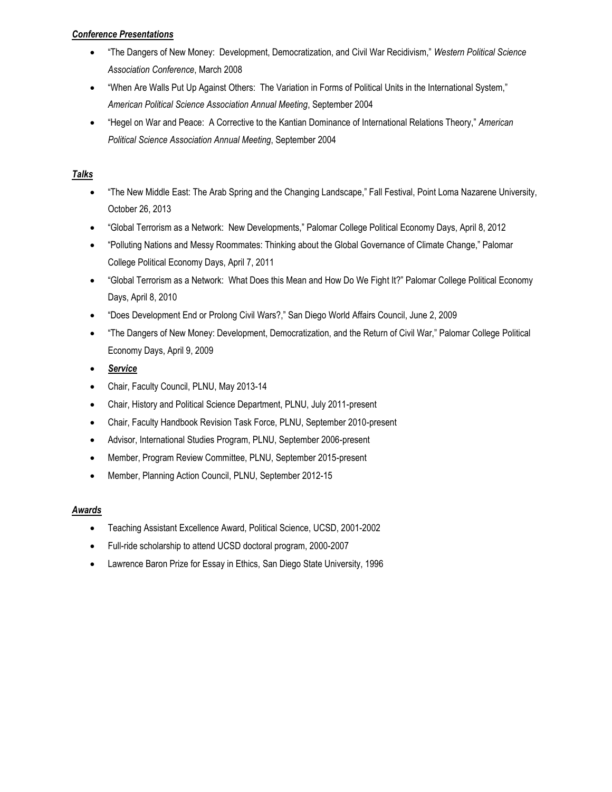# *Conference Presentations*

- "The Dangers of New Money: Development, Democratization, and Civil War Recidivism," *Western Political Science Association Conference*, March 2008
- "When Are Walls Put Up Against Others: The Variation in Forms of Political Units in the International System," *American Political Science Association Annual Meeting*, September 2004
- "Hegel on War and Peace: A Corrective to the Kantian Dominance of International Relations Theory," *American Political Science Association Annual Meeting*, September 2004

# *Talks*

- "The New Middle East: The Arab Spring and the Changing Landscape," Fall Festival, Point Loma Nazarene University, October 26, 2013
- "Global Terrorism as a Network: New Developments," Palomar College Political Economy Days, April 8, 2012
- "Polluting Nations and Messy Roommates: Thinking about the Global Governance of Climate Change," Palomar College Political Economy Days, April 7, 2011
- "Global Terrorism as a Network: What Does this Mean and How Do We Fight It?" Palomar College Political Economy Days, April 8, 2010
- "Does Development End or Prolong Civil Wars?," San Diego World Affairs Council, June 2, 2009
- "The Dangers of New Money: Development, Democratization, and the Return of Civil War," Palomar College Political Economy Days, April 9, 2009
- *Service*
- Chair, Faculty Council, PLNU, May 2013-14
- Chair, History and Political Science Department, PLNU, July 2011-present
- Chair, Faculty Handbook Revision Task Force, PLNU, September 2010-present
- Advisor, International Studies Program, PLNU, September 2006-present
- Member, Program Review Committee, PLNU, September 2015-present
- Member, Planning Action Council, PLNU, September 2012-15

# *Awards*

- Teaching Assistant Excellence Award, Political Science, UCSD, 2001-2002
- Full-ride scholarship to attend UCSD doctoral program, 2000-2007
- Lawrence Baron Prize for Essay in Ethics, San Diego State University, 1996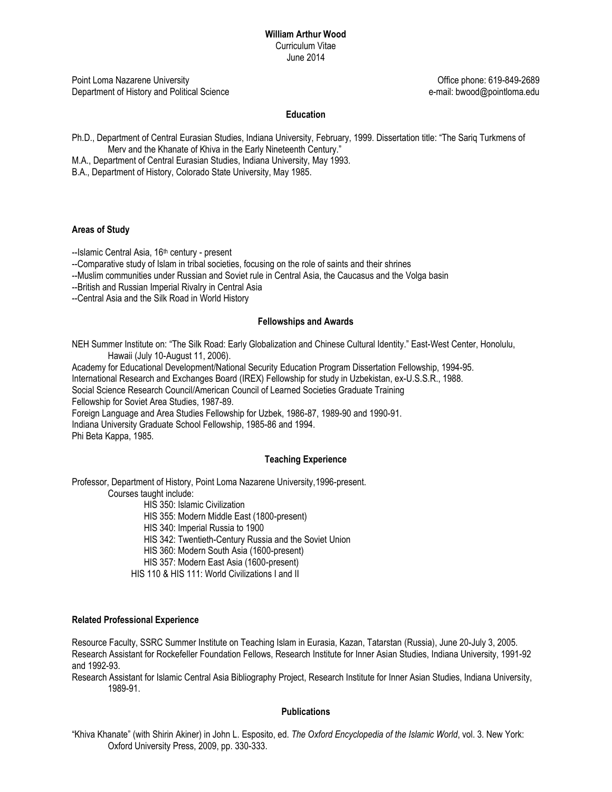Point Loma Nazarene University Office phone: 619-849-2689 Department of History and Political Science e-mail: bwood@pointloma.edu

## **Education**

- Ph.D., Department of Central Eurasian Studies, Indiana University, February, 1999. Dissertation title: "The Sariq Turkmens of Merv and the Khanate of Khiva in the Early Nineteenth Century."
- M.A., Department of Central Eurasian Studies, Indiana University, May 1993.
- B.A., Department of History, Colorado State University, May 1985.

#### **Areas of Study**

--Islamic Central Asia, 16<sup>th</sup> century - present

--Comparative study of Islam in tribal societies, focusing on the role of saints and their shrines

--Muslim communities under Russian and Soviet rule in Central Asia, the Caucasus and the Volga basin

--British and Russian Imperial Rivalry in Central Asia

--Central Asia and the Silk Road in World History

#### **Fellowships and Awards**

NEH Summer Institute on: "The Silk Road: Early Globalization and Chinese Cultural Identity." East-West Center, Honolulu, Hawaii (July 10-August 11, 2006).

Academy for Educational Development/National Security Education Program Dissertation Fellowship, 1994-95.

International Research and Exchanges Board (IREX) Fellowship for study in Uzbekistan, ex-U.S.S.R., 1988.

Social Science Research Council/American Council of Learned Societies Graduate Training

Fellowship for Soviet Area Studies, 1987-89.

Foreign Language and Area Studies Fellowship for Uzbek, 1986-87, 1989-90 and 1990-91.

Indiana University Graduate School Fellowship, 1985-86 and 1994.

Phi Beta Kappa, 1985.

#### **Teaching Experience**

Professor, Department of History, Point Loma Nazarene University,1996-present.

Courses taught include:

HIS 350: Islamic Civilization

HIS 355: Modern Middle East (1800-present)

HIS 340: Imperial Russia to 1900

HIS 342: Twentieth-Century Russia and the Soviet Union

HIS 360: Modern South Asia (1600-present)

HIS 357: Modern East Asia (1600-present)

HIS 110 & HIS 111: World Civilizations I and II

#### **Related Professional Experience**

Resource Faculty, SSRC Summer Institute on Teaching Islam in Eurasia, Kazan, Tatarstan (Russia), June 20-July 3, 2005. Research Assistant for Rockefeller Foundation Fellows, Research Institute for Inner Asian Studies, Indiana University, 1991-92 and 1992-93.

Research Assistant for Islamic Central Asia Bibliography Project, Research Institute for Inner Asian Studies, Indiana University, 1989-91.

#### **Publications**

"Khiva Khanate" (with Shirin Akiner) in John L. Esposito, ed. *The Oxford Encyclopedia of the Islamic World*, vol. 3. New York: Oxford University Press, 2009, pp. 330-333.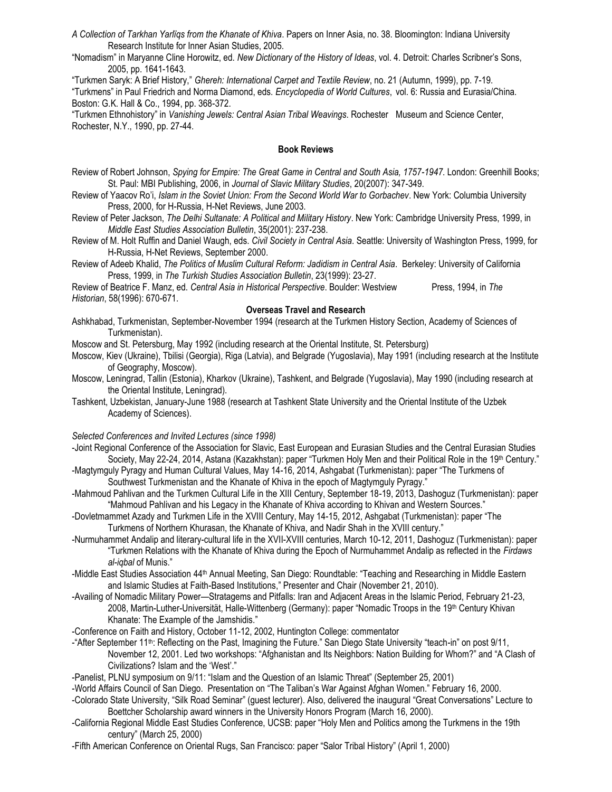*A Collection of Tarkhan Yarlïqs from the Khanate of Khiva*. Papers on Inner Asia, no. 38. Bloomington: Indiana University Research Institute for Inner Asian Studies, 2005.

"Nomadism" in Maryanne Cline Horowitz, ed. *New Dictionary of the History of Ideas*, vol. 4. Detroit: Charles Scribner's Sons, 2005, pp. 1641-1643.

"Turkmen Saryk: A Brief History," *Ghereh: International Carpet and Textile Review*, no. 21 (Autumn, 1999), pp. 7-19.

"Turkmens" in Paul Friedrich and Norma Diamond, eds. *Encyclopedia of World Cultures*, vol. 6: Russia and Eurasia/China. Boston: G.K. Hall & Co., 1994, pp. 368-372.

"Turkmen Ethnohistory" in *Vanishing Jewels: Central Asian Tribal Weavings*. Rochester Museum and Science Center, Rochester, N.Y., 1990, pp. 27-44.

#### **Book Reviews**

- Review of Robert Johnson, *Spying for Empire: The Great Game in Central and South Asia, 1757-1947*. London: Greenhill Books; St. Paul: MBI Publishing, 2006, in *Journal of Slavic Military Studies*, 20(2007): 347-349.
- Review of Yaacov Ro'i, *Islam in the Soviet Union: From the Second World War to Gorbachev*. New York: Columbia University Press, 2000, for H-Russia, H-Net Reviews, June 2003.
- Review of Peter Jackson, *The Delhi Sultanate: A Political and Military History*. New York: Cambridge University Press, 1999, in *Middle East Studies Association Bulletin*, 35(2001): 237-238.
- Review of M. Holt Ruffin and Daniel Waugh, eds. *Civil Society in Central Asia*. Seattle: University of Washington Press, 1999, for H-Russia, H-Net Reviews, September 2000.
- Review of Adeeb Khalid, *The Politics of Muslim Cultural Reform: Jadidism in Central Asia*. Berkeley: University of California Press, 1999, in *The Turkish Studies Association Bulletin*, 23(1999): 23-27.

Review of Beatrice F. Manz, ed. *Central Asia in Historical Perspective*. Boulder: Westview Press, 1994, in *The Historian*, 58(1996): 670-671.

## **Overseas Travel and Research**

Ashkhabad, Turkmenistan, September-November 1994 (research at the Turkmen History Section, Academy of Sciences of Turkmenistan).

Moscow and St. Petersburg, May 1992 (including research at the Oriental Institute, St. Petersburg)

Moscow, Kiev (Ukraine), Tbilisi (Georgia), Riga (Latvia), and Belgrade (Yugoslavia), May 1991 (including research at the Institute of Geography, Moscow).

- Moscow, Leningrad, Tallin (Estonia), Kharkov (Ukraine), Tashkent, and Belgrade (Yugoslavia), May 1990 (including research at the Oriental Institute, Leningrad).
- Tashkent, Uzbekistan, January-June 1988 (research at Tashkent State University and the Oriental Institute of the Uzbek Academy of Sciences).

### *Selected Conferences and Invited Lectures (since 1998)*

- -Joint Regional Conference of the Association for Slavic, East European and Eurasian Studies and the Central Eurasian Studies Society, May 22-24, 2014, Astana (Kazakhstan): paper "Turkmen Holy Men and their Political Role in the 19th Century."
- -Magtymguly Pyragy and Human Cultural Values, May 14-16, 2014, Ashgabat (Turkmenistan): paper "The Turkmens of Southwest Turkmenistan and the Khanate of Khiva in the epoch of Magtymguly Pyragy."
- -Mahmoud Pahlivan and the Turkmen Cultural Life in the XIII Century, September 18-19, 2013, Dashoguz (Turkmenistan): paper "Mahmoud Pahlivan and his Legacy in the Khanate of Khiva according to Khivan and Western Sources."
- -Dovletmammet Azady and Turkmen Life in the XVIII Century, May 14-15, 2012, Ashgabat (Turkmenistan): paper "The Turkmens of Northern Khurasan, the Khanate of Khiva, and Nadir Shah in the XVIII century."
- -Nurmuhammet Andalip and literary-cultural life in the XVII-XVIII centuries, March 10-12, 2011, Dashoguz (Turkmenistan): paper "Turkmen Relations with the Khanate of Khiva during the Epoch of Nurmuhammet Andalip as reflected in the *Firdaws al-iqbal* of Munis."
- -Middle East Studies Association 44th Annual Meeting, San Diego: Roundtable: "Teaching and Researching in Middle Eastern and Islamic Studies at Faith-Based Institutions," Presenter and Chair (November 21, 2010).
- -Availing of Nomadic Military Power—Stratagems and Pitfalls: Iran and Adjacent Areas in the Islamic Period, February 21-23, 2008, Martin-Luther-Universität, Halle-Wittenberg (Germany): paper "Nomadic Troops in the 19th Century Khivan Khanate: The Example of the Jamshidis."
- -Conference on Faith and History, October 11-12, 2002, Huntington College: commentator
- -"After September 11th: Reflecting on the Past, Imagining the Future." San Diego State University "teach-in" on post 9/11, November 12, 2001. Led two workshops: "Afghanistan and Its Neighbors: Nation Building for Whom?" and "A Clash of Civilizations? Islam and the 'West'."
- -Panelist, PLNU symposium on 9/11: "Islam and the Question of an Islamic Threat" (September 25, 2001)
- -World Affairs Council of San Diego. Presentation on "The Taliban's War Against Afghan Women." February 16, 2000.
- -Colorado State University, "Silk Road Seminar" (guest lecturer). Also, delivered the inaugural "Great Conversations" Lecture to Boettcher Scholarship award winners in the University Honors Program (March 16, 2000).
- -California Regional Middle East Studies Conference, UCSB: paper "Holy Men and Politics among the Turkmens in the 19th century" (March 25, 2000)
- -Fifth American Conference on Oriental Rugs, San Francisco: paper "Salor Tribal History" (April 1, 2000)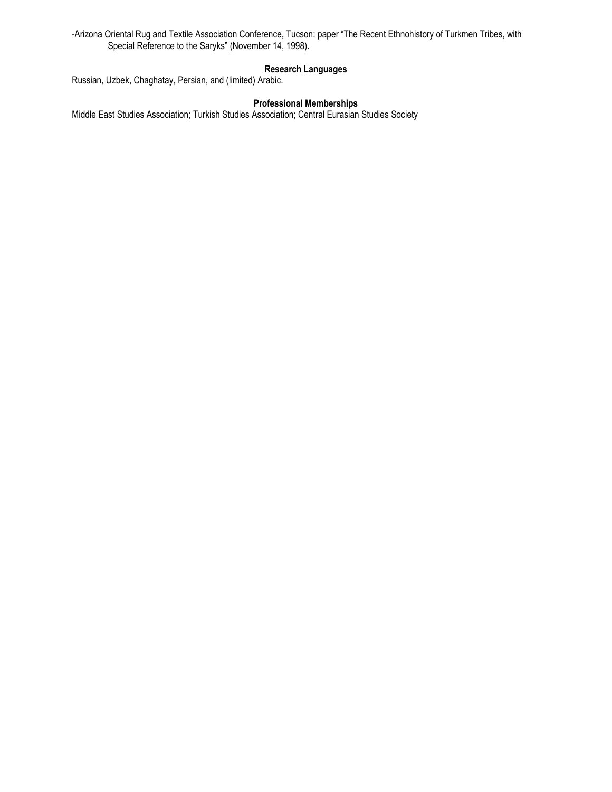-Arizona Oriental Rug and Textile Association Conference, Tucson: paper "The Recent Ethnohistory of Turkmen Tribes, with Special Reference to the Saryks" (November 14, 1998).

## **Research Languages**

Russian, Uzbek, Chaghatay, Persian, and (limited) Arabic.

## **Professional Memberships**

Middle East Studies Association; Turkish Studies Association; Central Eurasian Studies Society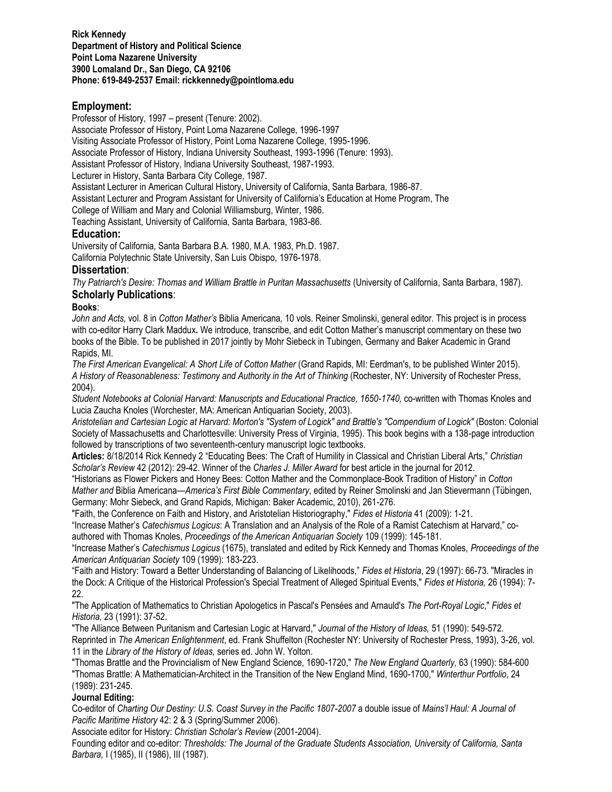# **Employment:**

Professor of History, 1997 – present (Tenure: 2002).

Associate Professor of History, Point Loma Nazarene College, 1996-1997

Visiting Associate Professor of History, Point Loma Nazarene College, 1995-1996.

Associate Professor of History, Indiana University Southeast, 1993-1996 (Tenure: 1993).

Assistant Professor of History, Indiana University Southeast, 1987-1993.

Lecturer in History, Santa Barbara City College, 1987.

Assistant Lecturer in American Cultural History, University of California, Santa Barbara, 1986-87.

Assistant Lecturer and Program Assistant for University of California's Education at Home Program, The

College of William and Mary and Colonial Williamsburg, Winter, 1986.

Teaching Assistant, University of California, Santa Barbara, 1983-86.

# **Education:**

University of California, Santa Barbara B.A. 1980, M.A. 1983, Ph.D. 1987. California Polytechnic State University, San Luis Obispo, 1976-1978.

# **Dissertation**:

*Thy Patriarch's Desire: Thomas and William Brattle in Puritan Massachusetts* (University of California, Santa Barbara, 1987). **Scholarly Publications**:

# **Books**:

*John and Acts,* vol. 8 in *Cotton Mather's* Biblia Americana*,* 10 vols. Reiner Smolinski, general editor. This project is in process with co-editor Harry Clark Maddux**.** We introduce, transcribe, and edit Cotton Mather's manuscript commentary on these two books of the Bible. To be published in 2017 jointly by Mohr Siebeck in Tubingen, Germany and Baker Academic in Grand Rapids, MI.

*The First American Evangelical: A Short Life of Cotton Mather* (Grand Rapids, MI: Eerdman's, to be published Winter 2015). A History of Reasonableness: Testimony and Authority in the Art of Thinking (Rochester, NY: University of Rochester Press, 2004).

*Student Notebooks at Colonial Harvard: Manuscripts and Educational Practice, 1650-1740,* co-written with Thomas Knoles and Lucia Zaucha Knoles (Worchester, MA: American Antiquarian Society, 2003).

*Aristotelian and Cartesian Logic at Harvard: Morton's "System of Logick" and Brattle's "Compendium of Logick"* (Boston: Colonial Society of Massachusetts and Charlottesville: University Press of Virginia, 1995). This book begins with a 138-page introduction followed by transcriptions of two seventeenth-century manuscript logic textbooks.

**Articles:** 8/18/2014 Rick Kennedy 2 "Educating Bees: The Craft of Humility in Classical and Christian Liberal Arts," *Christian Scholar's Review* 42 (2012): 29-42. Winner of the *Charles J. Miller Award* for best article in the journal for 2012.

"Historians as Flower Pickers and Honey Bees: Cotton Mather and the Commonplace-Book Tradition of History" in *Cotton Mather and* Biblia Americana*—America's First Bible Commentary*, edited by Reiner Smolinski and Jan Stievermann (Tübingen, Germany: Mohr Siebeck, and Grand Rapids, Michigan: Baker Academic, 2010), 261-276.

"Faith, the Conference on Faith and History, and Aristotelian Historiography," *Fides et Historia* 41 (2009): 1-21.

"Increase Mather's *Catechismus Logicus*: A Translation and an Analysis of the Role of a Ramist Catechism at Harvard," coauthored with Thomas Knoles, *Proceedings of the American Antiquarian Society* 109 (1999): 145-181.

"Increase Mather's *Catechismus Logicus* (1675), translated and edited by Rick Kennedy and Thomas Knoles, *Proceedings of the American Antiquarian Society* 109 (1999): 183-223.

"Faith and History: Toward a Better Understanding of Balancing of Likelihoods," *Fides et Historia*, 29 (1997): 66-73. "Miracles in the Dock: A Critique of the Historical Profession's Special Treatment of Alleged Spiritual Events," *Fides et Historia,* 26 (1994): 7- 22.

"The Application of Mathematics to Christian Apologetics in Pascal's Pensées and Arnauld's *The Port-Royal Logic*," *Fides et Historia,* 23 (1991): 37-52.

"The Alliance Between Puritanism and Cartesian Logic at Harvard," *Journal of the History of Ideas,* 51 (1990): 549-572. Reprinted in *The American Enlightenment*, ed. Frank Shuffelton (Rochester NY: University of Rochester Press, 1993), 3-26, vol. 11 in the *Library of the History of Ideas,* series ed. John W. Yolton.

"Thomas Brattle and the Provincialism of New England Science, 1690-1720," *The New England Quarterly,* 63 (1990): 584-600 "Thomas Brattle: A Mathematician-Architect in the Transition of the New England Mind, 1690-1700," *Winterthur Portfolio*, 24 (1989): 231-245.

# **Journal Editing:**

Co-editor of *Charting Our Destiny: U.S. Coast Survey in the Pacific 1807-2007* a double issue of *Mains'l Haul: A Journal of Pacific Maritime History* 42: 2 & 3 (Spring/Summer 2006).

Associate editor for History: *Christian Scholar's Review* (2001-2004).

Founding editor and co-editor: *Thresholds: The Journal of the Graduate Students Association, University of California, Santa Barbara,* I (1985), II (1986), III (1987).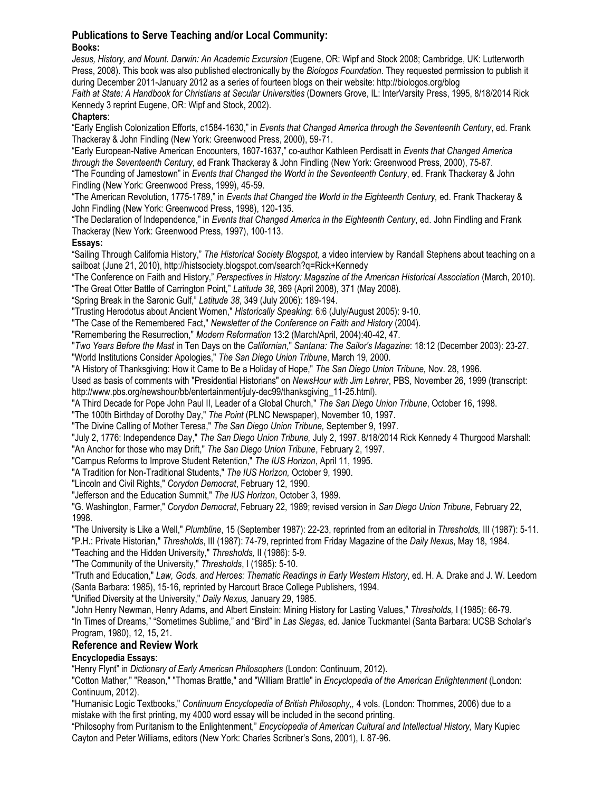## **Publications to Serve Teaching and/or Local Community: Books:**

*Jesus, History, and Mount. Darwin: An Academic Excursion* (Eugene, OR: Wipf and Stock 2008; Cambridge, UK: Lutterworth Press, 2008). This book was also published electronically by the *Biologos Foundation*. They requested permission to publish it during December 2011-January 2012 as a series of fourteen blogs on their website: http://biologos.org/blog

Faith at State: A Handbook for Christians at Secular Universities (Downers Grove, IL: InterVarsity Press, 1995, 8/18/2014 Rick Kennedy 3 reprint Eugene, OR: Wipf and Stock, 2002).

# **Chapters**:

"Early English Colonization Efforts, c1584-1630," in *Events that Changed America through the Seventeenth Century*, ed. Frank Thackeray & John Findling (New York: Greenwood Press, 2000), 59-71.

"Early European-Native American Encounters, 1607-1637," co-author Kathleen Perdisatt in *Events that Changed America through the Seventeenth Century,* ed Frank Thackeray & John Findling (New York: Greenwood Press, 2000), 75-87.

"The Founding of Jamestown" in *Events that Changed the World in the Seventeenth Century*, ed. Frank Thackeray & John Findling (New York: Greenwood Press, 1999), 45-59.

"The American Revolution, 1775-1789," in *Events that Changed the World in the Eighteenth Century,* ed. Frank Thackeray & John Findling (New York: Greenwood Press, 1998), 120-135.

"The Declaration of Independence," in *Events that Changed America in the Eighteenth Century*, ed. John Findling and Frank Thackeray (New York: Greenwood Press, 1997), 100-113.

# **Essays:**

"Sailing Through California History," *The Historical Society Blogspot,* a video interview by Randall Stephens about teaching on a sailboat (June 21, 2010), http://histsociety.blogspot.com/search?q=Rick+Kennedy

"The Conference on Faith and History," *Perspectives in History: Magazine of the American Historical Association* (March, 2010).

"The Great Otter Battle of Carrington Point," *Latitude 38*, 369 (April 2008), 371 (May 2008).

"Spring Break in the Saronic Gulf," *Latitude 38*, 349 (July 2006): 189-194.

"Trusting Herodotus about Ancient Women," *Historically Speaking*: 6:6 (July/August 2005): 9-10.

"The Case of the Remembered Fact," *Newsletter of the Conference on Faith and History* (2004).

"Remembering the Resurrection," *Modern Reformation* 13:2 (March/April, 2004):40-42, 47.

"*Two Years Before the Mast* in Ten Days on the *Californian*," *Santana: The Sailor's Magazine*: 18:12 (December 2003): 23-27.

"World Institutions Consider Apologies," *The San Diego Union Tribune*, March 19, 2000.

"A History of Thanksgiving: How it Came to Be a Holiday of Hope," *The San Diego Union Tribune,* Nov. 28, 1996.

Used as basis of comments with "Presidential Historians" on *NewsHour with Jim Lehrer*, PBS, November 26, 1999 (transcript: http://www.pbs.org/newshour/bb/entertainment/july-dec99/thanksgiving\_11-25.html).

"A Third Decade for Pope John Paul II, Leader of a Global Church," *The San Diego Union Tribune*, October 16, 1998.

"The 100th Birthday of Dorothy Day," *The Point* (PLNC Newspaper), November 10, 1997.

"The Divine Calling of Mother Teresa," *The San Diego Union Tribune,* September 9, 1997.

"July 2, 1776: Independence Day," *The San Diego Union Tribune,* July 2, 1997. 8/18/2014 Rick Kennedy 4 Thurgood Marshall: "An Anchor for those who may Drift," *The San Diego Union Tribune*, February 2, 1997.

"Campus Reforms to Improve Student Retention," *The IUS Horizon*, April 11, 1995.

"A Tradition for Non-Traditional Students," *The IUS Horizon,* October 9, 1990.

"Lincoln and Civil Rights," *Corydon Democrat*, February 12, 1990.

"Jefferson and the Education Summit," *The IUS Horizon*, October 3, 1989.

"G. Washington, Farmer," *Corydon Democrat*, February 22, 1989; revised version in *San Diego Union Tribune,* February 22, 1998.

"The University is Like a Well," *Plumbline*, 15 (September 1987): 22-23, reprinted from an editorial in *Thresholds,* III (1987): 5-11. "P.H.: Private Historian," *Thresholds*, III (1987): 74-79, reprinted from Friday Magazine of the *Daily Nexus*, May 18, 1984.

"Teaching and the Hidden University," *Thresholds,* II (1986): 5-9.

"The Community of the University," *Thresholds*, I (1985): 5-10.

"Truth and Education," *Law, Gods, and Heroes: Thematic Readings in Early Western History*, ed. H. A. Drake and J. W. Leedom (Santa Barbara: 1985), 15-16, reprinted by Harcourt Brace College Publishers, 1994.

"Unified Diversity at the University," *Daily Nexus,* January 29, 1985.

"John Henry Newman, Henry Adams, and Albert Einstein: Mining History for Lasting Values," *Thresholds,* I (1985): 66-79. "In Times of Dreams," "Sometimes Sublime," and "Bird" in *Las Siegas*, ed. Janice Tuckmantel (Santa Barbara: UCSB Scholar's Program, 1980), 12, 15, 21.

# **Reference and Review Work**

# **Encyclopedia Essays**:

"Henry Flynt" in *Dictionary of Early American Philosophers* (London: Continuum, 2012).

"Cotton Mather," "Reason," "Thomas Brattle," and "William Brattle" in *Encyclopedia of the American Enlightenment* (London: Continuum, 2012).

"Humanisic Logic Textbooks," *Continuum Encyclopedia of British Philosophy,,* 4 vols. (London: Thommes, 2006) due to a mistake with the first printing, my 4000 word essay will be included in the second printing.

"Philosophy from Puritanism to the Enlightenment," *Encyclopedia of American Cultural and Intellectual History,* Mary Kupiec Cayton and Peter Williams, editors (New York: Charles Scribner's Sons, 2001), I. 87-96.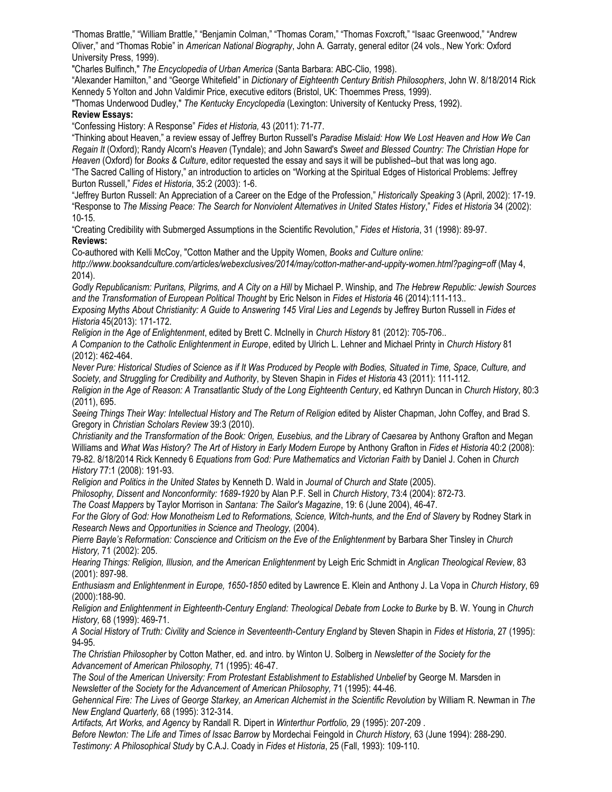"Thomas Brattle," "William Brattle," "Benjamin Colman," "Thomas Coram," "Thomas Foxcroft," "Isaac Greenwood," "Andrew Oliver," and "Thomas Robie" in *American National Biography*, John A. Garraty, general editor (24 vols., New York: Oxford University Press, 1999).

"Charles Bulfinch," *The Encyclopedia of Urban America* (Santa Barbara: ABC-Clio, 1998).

"Alexander Hamilton," and "George Whitefield" in *Dictionary of Eighteenth Century British Philosophers*, John W. 8/18/2014 Rick Kennedy 5 Yolton and John Valdimir Price, executive editors (Bristol, UK: Thoemmes Press, 1999).

"Thomas Underwood Dudley," *The Kentucky Encyclopedia* (Lexington: University of Kentucky Press, 1992).

## **Review Essays:**

"Confessing History: A Response" *Fides et Historia,* 43 (2011): 71-77.

"Thinking about Heaven," a review essay of Jeffrey Burton Russell's *Paradise Mislaid: How We Lost Heaven and How We Can Regain It* (Oxford); Randy Alcorn's *Heaven* (Tyndale); and John Saward's *Sweet and Blessed Country: The Christian Hope for Heaven* (Oxford) for *Books & Culture*, editor requested the essay and says it will be published--but that was long ago. "The Sacred Calling of History," an introduction to articles on "Working at the Spiritual Edges of Historical Problems: Jeffrey Burton Russell," *Fides et Historia*, 35:2 (2003): 1-6.

"Jeffrey Burton Russell: An Appreciation of a Career on the Edge of the Profession," *Historically Speaking* 3 (April, 2002): 17-19. "Response to *The Missing Peace: The Search for Nonviolent Alternatives in United States History*," *Fides et Historia* 34 (2002): 10-15.

"Creating Credibility with Submerged Assumptions in the Scientific Revolution," *Fides et Historia*, 31 (1998): 89-97. **Reviews:** 

Co-authored with Kelli McCoy, "Cotton Mather and the Uppity Women, *Books and Culture online:* 

*http://www.booksandculture.com/articles/webexclusives/2014/may/cotton-mather-and-uppity-women.html?paging=off* (May 4, 2014).

*Godly Republicanism: Puritans, Pilgrims, and A City on a Hill* by Michael P. Winship, and *The Hebrew Republic: Jewish Sources and the Transformation of European Political Thought* by Eric Nelson in *Fides et Historia* 46 (2014):111-113..

*Exposing Myths About Christianity: A Guide to Answering 145 Viral Lies and Legends* by Jeffrey Burton Russell in *Fides et Historia* 45(2013): 171-172.

*Religion in the Age of Enlightenment*, edited by Brett C. McInelly in *Church History* 81 (2012): 705-706..

*A Companion to the Catholic Enlightenment in Europe*, edited by Ulrich L. Lehner and Michael Printy in *Church History* 81 (2012): 462-464.

*Never Pure: Historical Studies of Science as if It Was Produced by People with Bodies, Situated in Time, Space, Culture, and Society, and Struggling for Credibility and Authority*, by Steven Shapin in *Fides et Historia* 43 (2011): 111-112.

*Religion in the Age of Reason: A Transatlantic Study of the Long Eighteenth Century*, ed Kathryn Duncan in *Church History*, 80:3 (2011), 695.

Seeing Things Their Way: Intellectual History and The Return of Religion edited by Alister Chapman, John Coffey, and Brad S. Gregory in *Christian Scholars Review* 39:3 (2010).

*Christianity and the Transformation of the Book: Origen, Eusebius, and the Library of Caesarea* by Anthony Grafton and Megan Williams and *What Was History? The Art of History in Early Modern Europe* by Anthony Grafton in *Fides et Historia* 40:2 (2008): 79-82. 8/18/2014 Rick Kennedy 6 *Equations from God: Pure Mathematics and Victorian Faith* by Daniel J. Cohen in *Church History* 77:1 (2008): 191-93.

*Religion and Politics in the United States* by Kenneth D. Wald in *Journal of Church and State* (2005).

*Philosophy, Dissent and Nonconformity: 1689-1920* by Alan P.F. Sell in *Church History*, 73:4 (2004): 872-73.

*The Coast Mappers* by Taylor Morrison in *Santana: The Sailor's Magazine*, 19: 6 (June 2004), 46-47.

For the Glory of God: How Monotheism Led to Reformations, Science, Witch-hunts, and the End of Slavery by Rodney Stark in *Research News and Opportunities in Science and Theology,* (2004).

*Pierre Bayle's Reformation: Conscience and Criticism on the Eve of the Enlightenment by Barbara Sher Tinsley in Church History,* 71 (2002): 205.

*Hearing Things: Religion, Illusion, and the American Enlightenment* by Leigh Eric Schmidt in *Anglican Theological Review*, 83 (2001): 897-98.

*Enthusiasm and Enlightenment in Europe, 1650-1850* edited by Lawrence E. Klein and Anthony J. La Vopa in *Church History*, 69 (2000):188-90.

*Religion and Enlightenment in Eighteenth-Century England: Theological Debate from Locke to Burke* by B. W. Young in *Church History,* 68 (1999): 469-71.

*A Social History of Truth: Civility and Science in Seventeenth-Century England* by Steven Shapin in *Fides et Historia*, 27 (1995): 94-95.

*The Christian Philosopher* by Cotton Mather, ed. and intro. by Winton U. Solberg in *Newsletter of the Society for the Advancement of American Philosophy,* 71 (1995): 46-47.

*The Soul of the American University: From Protestant Establishment to Established Unbelief* by George M. Marsden in *Newsletter of the Society for the Advancement of American Philosophy,* 71 (1995): 44-46.

*Gehennical Fire: The Lives of George Starkey, an American Alchemist in the Scientific Revolution* by William R. Newman in *The New England Quarterly,* 68 (1995): 312-314.

*Artifacts, Art Works, and Agency* by Randall R. Dipert in *Winterthur Portfolio,* 29 (1995): 207-209 .

*Before Newton: The Life and Times of Issac Barrow* by Mordechai Feingold in *Church History,* 63 (June 1994): 288-290. *Testimony: A Philosophical Study* by C.A.J. Coady in *Fides et Historia*, 25 (Fall, 1993): 109-110.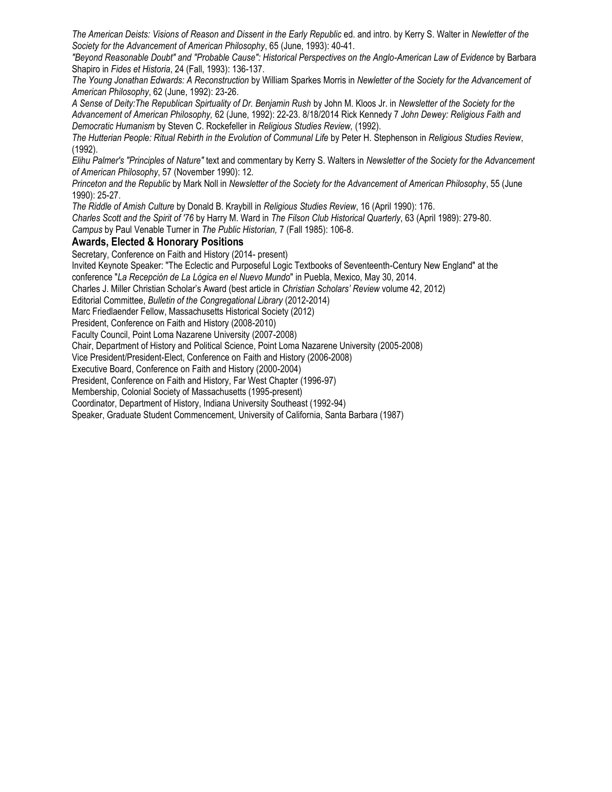*The American Deists: Visions of Reason and Dissent in the Early Republic* ed. and intro. by Kerry S. Walter in *Newletter of the Society for the Advancement of American Philosophy*, 65 (June, 1993): 40-41.

*"Beyond Reasonable Doubt" and "Probable Cause": Historical Perspectives on the Anglo-American Law of Evidence* by Barbara Shapiro in *Fides et Historia*, 24 (Fall, 1993): 136-137.

*The Young Jonathan Edwards: A Reconstruction* by William Sparkes Morris in *Newletter of the Society for the Advancement of American Philosophy*, 62 (June, 1992): 23-26.

*A Sense of Deity:The Republican Spirtuality of Dr. Benjamin Rush* by John M. Kloos Jr. in *Newsletter of the Society for the Advancement of American Philosophy,* 62 (June, 1992): 22-23. 8/18/2014 Rick Kennedy 7 *John Dewey: Religious Faith and Democratic Humanism* by Steven C. Rockefeller in *Religious Studies Review,* (1992).

*The Hutterian People: Ritual Rebirth in the Evolution of Communal Life* by Peter H. Stephenson in *Religious Studies Review*, (1992).

*Elihu Palmer's "Principles of Nature"* text and commentary by Kerry S. Walters in *Newsletter of the Society for the Advancement of American Philosophy*, 57 (November 1990): 12.

*Princeton and the Republic* by Mark Noll in *Newsletter of the Society for the Advancement of American Philosophy*, 55 (June 1990): 25-27.

*The Riddle of Amish Culture* by Donald B. Kraybill in *Religious Studies Review*, 16 (April 1990): 176.

*Charles Scott and the Spirit of '76* by Harry M. Ward in *The Filson Club Historical Quarterly*, 63 (April 1989): 279-80. *Campus* by Paul Venable Turner in *The Public Historian,* 7 (Fall 1985): 106-8.

# **Awards, Elected & Honorary Positions**

Secretary, Conference on Faith and History (2014- present)

Invited Keynote Speaker: "The Eclectic and Purposeful Logic Textbooks of Seventeenth-Century New England" at the

conference "*La Recepción de La Lógica en el Nuevo Mundo*" in Puebla, Mexico, May 30, 2014.

Charles J. Miller Christian Scholar's Award (best article in *Christian Scholars' Review* volume 42, 2012)

Editorial Committee, *Bulletin of the Congregational Library* (2012-2014)

Marc Friedlaender Fellow, Massachusetts Historical Society (2012)

President, Conference on Faith and History (2008-2010)

Faculty Council, Point Loma Nazarene University (2007-2008)

Chair, Department of History and Political Science, Point Loma Nazarene University (2005-2008)

Vice President/President-Elect, Conference on Faith and History (2006-2008)

Executive Board, Conference on Faith and History (2000-2004)

President, Conference on Faith and History, Far West Chapter (1996-97)

Membership, Colonial Society of Massachusetts (1995-present)

Coordinator, Department of History, Indiana University Southeast (1992-94)

Speaker, Graduate Student Commencement, University of California, Santa Barbara (1987)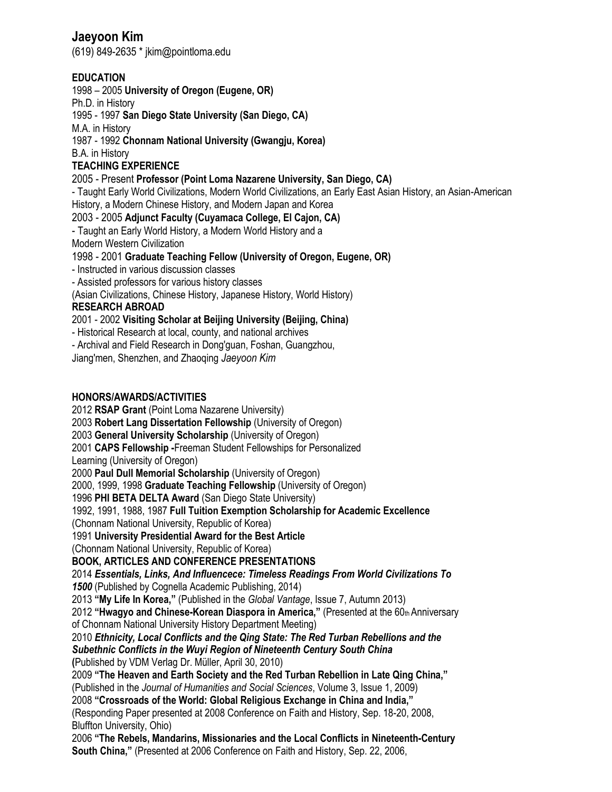# **Jaeyoon Kim**

(619) 849-2635 \* jkim@pointloma.edu

# **EDUCATION**

1998 – 2005 **University of Oregon (Eugene, OR)** 

Ph.D. in History

1995 - 1997 **San Diego State University (San Diego, CA)** 

M.A. in History

1987 - 1992 **Chonnam National University (Gwangju, Korea)** 

B.A. in History

# **TEACHING EXPERIENCE**

# 2005 - Present **Professor (Point Loma Nazarene University, San Diego, CA)**

- Taught Early World Civilizations, Modern World Civilizations, an Early East Asian History, an Asian-American History, a Modern Chinese History, and Modern Japan and Korea

2003 - 2005 **Adjunct Faculty (Cuyamaca College, El Cajon, CA)** 

- Taught an Early World History, a Modern World History and a

Modern Western Civilization

1998 - 2001 **Graduate Teaching Fellow (University of Oregon, Eugene, OR)** 

- Instructed in various discussion classes

- Assisted professors for various history classes

(Asian Civilizations, Chinese History, Japanese History, World History)

# **RESEARCH ABROAD**

2001 - 2002 **Visiting Scholar at Beijing University (Beijing, China)** 

- Historical Research at local, county, and national archives

- Archival and Field Research in Dong'guan, Foshan, Guangzhou,

Jiang'men, Shenzhen, and Zhaoqing *Jaeyoon Kim* 

# **HONORS/AWARDS/ACTIVITIES**

2012 **RSAP Grant** (Point Loma Nazarene University) 2003 **Robert Lang Dissertation Fellowship** (University of Oregon) 2003 **General University Scholarship** (University of Oregon) 2001 **CAPS Fellowship -**Freeman Student Fellowships for Personalized Learning (University of Oregon) 2000 **Paul Dull Memorial Scholarship** (University of Oregon) 2000, 1999, 1998 **Graduate Teaching Fellowship** (University of Oregon) 1996 **PHI BETA DELTA Award** (San Diego State University) 1992, 1991, 1988, 1987 **Full Tuition Exemption Scholarship for Academic Excellence**  (Chonnam National University, Republic of Korea) 1991 **University Presidential Award for the Best Article**  (Chonnam National University, Republic of Korea) **BOOK, ARTICLES AND CONFERENCE PRESENTATIONS**  2014 *Essentials, Links, And Influencece: Timeless Readings From World Civilizations To 1500* (Published by Cognella Academic Publishing, 2014) 2013 **"My Life In Korea,"** (Published in the *Global Vantage*, Issue 7, Autumn 2013) 2012 "Hwagyo and Chinese-Korean Diaspora in America," (Presented at the 60th Anniversary of Chonnam National University History Department Meeting) 2010 *Ethnicity, Local Conflicts and the Qing State: The Red Turban Rebellions and the Subethnic Conflicts in the Wuyi Region of Nineteenth Century South China*  **(**Published by VDM Verlag Dr. Müller, April 30, 2010) 2009 **"The Heaven and Earth Society and the Red Turban Rebellion in Late Qing China,"**  (Published in the *Journal of Humanities and Social Sciences*, Volume 3, Issue 1, 2009) 2008 **"Crossroads of the World: Global Religious Exchange in China and India,"**  (Responding Paper presented at 2008 Conference on Faith and History, Sep. 18-20, 2008, Bluffton University, Ohio) 2006 **"The Rebels, Mandarins, Missionaries and the Local Conflicts in Nineteenth-Century South China,"** (Presented at 2006 Conference on Faith and History, Sep. 22, 2006,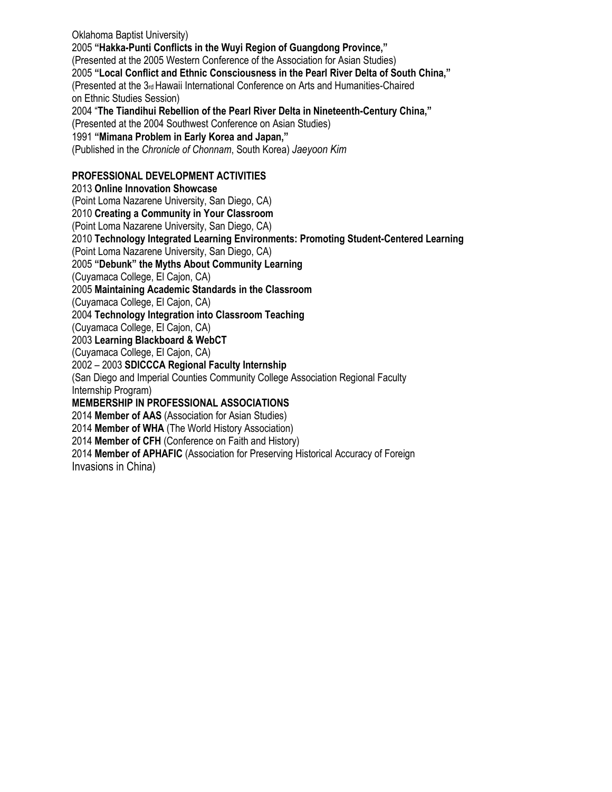Oklahoma Baptist University) 2005 **"Hakka-Punti Conflicts in the Wuyi Region of Guangdong Province,"**  (Presented at the 2005 Western Conference of the Association for Asian Studies) 2005 **"Local Conflict and Ethnic Consciousness in the Pearl River Delta of South China,"**  (Presented at the 3rd Hawaii International Conference on Arts and Humanities-Chaired on Ethnic Studies Session) 2004 "**The Tiandihui Rebellion of the Pearl River Delta in Nineteenth-Century China,"**  (Presented at the 2004 Southwest Conference on Asian Studies) 1991 **"Mimana Problem in Early Korea and Japan,"**  (Published in the *Chronicle of Chonnam*, South Korea) *Jaeyoon Kim*  **PROFESSIONAL DEVELOPMENT ACTIVITIES**  2013 **Online Innovation Showcase**  (Point Loma Nazarene University, San Diego, CA) 2010 **Creating a Community in Your Classroom**  (Point Loma Nazarene University, San Diego, CA) 2010 **Technology Integrated Learning Environments: Promoting Student-Centered Learning**  (Point Loma Nazarene University, San Diego, CA) 2005 **"Debunk" the Myths About Community Learning**  (Cuyamaca College, El Cajon, CA) 2005 **Maintaining Academic Standards in the Classroom**  (Cuyamaca College, El Cajon, CA) 2004 **Technology Integration into Classroom Teaching**  (Cuyamaca College, El Cajon, CA) 2003 **Learning Blackboard & WebCT**  (Cuyamaca College, El Cajon, CA) 2002 – 2003 **SDICCCA Regional Faculty Internship**  (San Diego and Imperial Counties Community College Association Regional Faculty Internship Program) **MEMBERSHIP IN PROFESSIONAL ASSOCIATIONS** 2014 **Member of AAS** (Association for Asian Studies) 2014 **Member of WHA** (The World History Association) 2014 **Member of CFH** (Conference on Faith and History)

2014 **Member of APHAFIC** (Association for Preserving Historical Accuracy of Foreign

Invasions in China)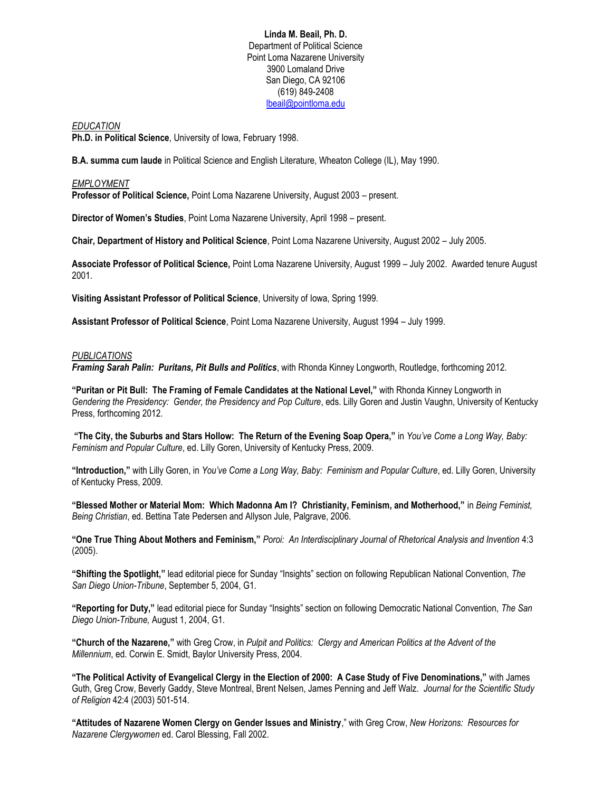### **Linda M. Beail, Ph. D.** Department of Political Science Point Loma Nazarene University 3900 Lomaland Drive San Diego, CA 92106 (619) 849-2408 [lbeail@pointloma.edu](mailto:lbeail@pointloma.edu)

#### *EDUCATION*

**Ph.D. in Political Science**, University of Iowa, February 1998.

**B.A. summa cum laude** in Political Science and English Literature, Wheaton College (IL), May 1990.

## *EMPLOYMENT*

**Professor of Political Science,** Point Loma Nazarene University, August 2003 – present.

**Director of Women's Studies**, Point Loma Nazarene University, April 1998 – present.

**Chair, Department of History and Political Science**, Point Loma Nazarene University, August 2002 – July 2005.

**Associate Professor of Political Science,** Point Loma Nazarene University, August 1999 – July 2002. Awarded tenure August 2001.

**Visiting Assistant Professor of Political Science**, University of Iowa, Spring 1999.

**Assistant Professor of Political Science**, Point Loma Nazarene University, August 1994 – July 1999.

#### *PUBLICATIONS*

*Framing Sarah Palin: Puritans, Pit Bulls and Politics*, with Rhonda Kinney Longworth, Routledge, forthcoming 2012.

**"Puritan or Pit Bull: The Framing of Female Candidates at the National Level,"** with Rhonda Kinney Longworth in Gendering the Presidency: Gender, the Presidency and Pop Culture, eds. Lilly Goren and Justin Vaughn, University of Kentucky Press, forthcoming 2012.

**"The City, the Suburbs and Stars Hollow: The Return of the Evening Soap Opera,"** in *You've Come a Long Way, Baby: Feminism and Popular Culture*, ed. Lilly Goren, University of Kentucky Press, 2009.

**"Introduction,"** with Lilly Goren, in *You've Come a Long Way, Baby: Feminism and Popular Culture*, ed. Lilly Goren, University of Kentucky Press, 2009.

**"Blessed Mother or Material Mom: Which Madonna Am I? Christianity, Feminism, and Motherhood,"** in *Being Feminist, Being Christian*, ed. Bettina Tate Pedersen and Allyson Jule, Palgrave, 2006.

**"One True Thing About Mothers and Feminism,"** *Poroi: An Interdisciplinary Journal of Rhetorical Analysis and Invention* 4:3 (2005).

**"Shifting the Spotlight,"** lead editorial piece for Sunday "Insights" section on following Republican National Convention, *The San Diego Union-Tribune*, September 5, 2004, G1.

**"Reporting for Duty,"** lead editorial piece for Sunday "Insights" section on following Democratic National Convention, *The San Diego Union-Tribune,* August 1, 2004, G1.

**"Church of the Nazarene,"** with Greg Crow, in *Pulpit and Politics: Clergy and American Politics at the Advent of the Millennium*, ed. Corwin E. Smidt, Baylor University Press, 2004.

**"The Political Activity of Evangelical Clergy in the Election of 2000: A Case Study of Five Denominations,"** with James Guth, Greg Crow, Beverly Gaddy, Steve Montreal, Brent Nelsen, James Penning and Jeff Walz. *Journal for the Scientific Study of Religion* 42:4 (2003) 501-514.

**"Attitudes of Nazarene Women Clergy on Gender Issues and Ministry**," with Greg Crow, *New Horizons: Resources for Nazarene Clergywomen* ed. Carol Blessing, Fall 2002.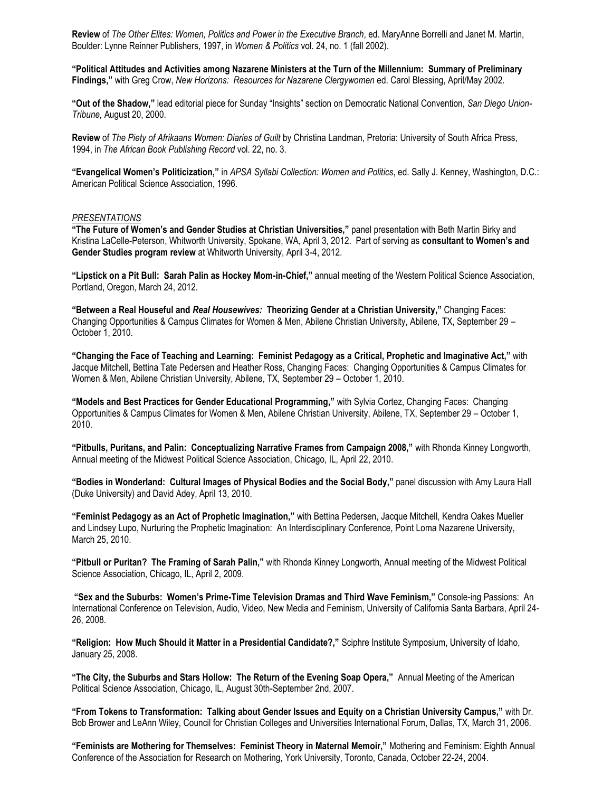**Review** of *The Other Elites: Women, Politics and Power in the Executive Branch*, ed. MaryAnne Borrelli and Janet M. Martin, Boulder: Lynne Reinner Publishers, 1997, in *Women & Politics* vol. 24, no. 1 (fall 2002).

**"Political Attitudes and Activities among Nazarene Ministers at the Turn of the Millennium: Summary of Preliminary Findings,"** with Greg Crow, *New Horizons: Resources for Nazarene Clergywomen* ed. Carol Blessing, April/May 2002.

**"Out of the Shadow,"** lead editorial piece for Sunday "Insights" section on Democratic National Convention, *San Diego Union-Tribune,* August 20, 2000.

**Review** of *The Piety of Afrikaans Women: Diaries of Guilt* by Christina Landman, Pretoria: University of South Africa Press, 1994, in *The African Book Publishing Record* vol. 22, no. 3.

**"Evangelical Women's Politicization,"** in *APSA Syllabi Collection: Women and Politics*, ed. Sally J. Kenney, Washington, D.C.: American Political Science Association, 1996.

#### *PRESENTATIONS*

**"The Future of Women's and Gender Studies at Christian Universities,"** panel presentation with Beth Martin Birky and Kristina LaCelle-Peterson, Whitworth University, Spokane, WA, April 3, 2012. Part of serving as **consultant to Women's and Gender Studies program review** at Whitworth University, April 3-4, 2012.

**"Lipstick on a Pit Bull: Sarah Palin as Hockey Mom-in-Chief,"** annual meeting of the Western Political Science Association, Portland, Oregon, March 24, 2012.

**"Between a Real Houseful and** *Real Housewives:* **Theorizing Gender at a Christian University,"** Changing Faces: Changing Opportunities & Campus Climates for Women & Men, Abilene Christian University, Abilene, TX, September 29 – October 1, 2010.

**"Changing the Face of Teaching and Learning: Feminist Pedagogy as a Critical, Prophetic and Imaginative Act,"** with Jacque Mitchell, Bettina Tate Pedersen and Heather Ross, Changing Faces: Changing Opportunities & Campus Climates for Women & Men, Abilene Christian University, Abilene, TX, September 29 – October 1, 2010.

**"Models and Best Practices for Gender Educational Programming,"** with Sylvia Cortez, Changing Faces: Changing Opportunities & Campus Climates for Women & Men, Abilene Christian University, Abilene, TX, September 29 – October 1, 2010.

**"Pitbulls, Puritans, and Palin: Conceptualizing Narrative Frames from Campaign 2008,"** with Rhonda Kinney Longworth, Annual meeting of the Midwest Political Science Association, Chicago, IL, April 22, 2010.

**"Bodies in Wonderland: Cultural Images of Physical Bodies and the Social Body,"** panel discussion with Amy Laura Hall (Duke University) and David Adey, April 13, 2010.

**"Feminist Pedagogy as an Act of Prophetic Imagination,"** with Bettina Pedersen, Jacque Mitchell, Kendra Oakes Mueller and Lindsey Lupo, Nurturing the Prophetic Imagination: An Interdisciplinary Conference, Point Loma Nazarene University, March 25, 2010.

**"Pitbull or Puritan? The Framing of Sarah Palin,"** with Rhonda Kinney Longworth, Annual meeting of the Midwest Political Science Association, Chicago, IL, April 2, 2009.

**"Sex and the Suburbs: Women's Prime-Time Television Dramas and Third Wave Feminism,"** Console-ing Passions: An International Conference on Television, Audio, Video, New Media and Feminism, University of California Santa Barbara, April 24- 26, 2008.

**"Religion: How Much Should it Matter in a Presidential Candidate?,"** Sciphre Institute Symposium, University of Idaho, January 25, 2008.

**"The City, the Suburbs and Stars Hollow: The Return of the Evening Soap Opera,"** Annual Meeting of the American Political Science Association, Chicago, IL, August 30th-September 2nd, 2007.

**"From Tokens to Transformation: Talking about Gender Issues and Equity on a Christian University Campus,"** with Dr. Bob Brower and LeAnn Wiley, Council for Christian Colleges and Universities International Forum, Dallas, TX, March 31, 2006.

**"Feminists are Mothering for Themselves: Feminist Theory in Maternal Memoir,"** Mothering and Feminism: Eighth Annual Conference of the Association for Research on Mothering, York University, Toronto, Canada, October 22-24, 2004.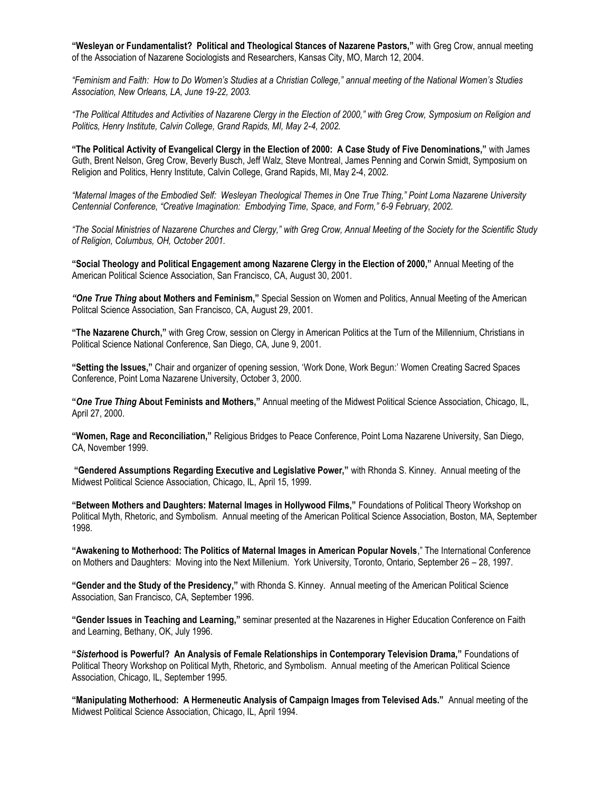**"Wesleyan or Fundamentalist? Political and Theological Stances of Nazarene Pastors,"** with Greg Crow, annual meeting of the Association of Nazarene Sociologists and Researchers, Kansas City, MO, March 12, 2004.

*"Feminism and Faith: How to Do Women's Studies at a Christian College," annual meeting of the National Women's Studies Association, New Orleans, LA, June 19-22, 2003.*

*"The Political Attitudes and Activities of Nazarene Clergy in the Election of 2000," with Greg Crow, Symposium on Religion and Politics, Henry Institute, Calvin College, Grand Rapids, MI, May 2-4, 2002.*

**"The Political Activity of Evangelical Clergy in the Election of 2000: A Case Study of Five Denominations,"** with James Guth, Brent Nelson, Greg Crow, Beverly Busch, Jeff Walz, Steve Montreal, James Penning and Corwin Smidt, Symposium on Religion and Politics, Henry Institute, Calvin College, Grand Rapids, MI, May 2-4, 2002.

*"Maternal Images of the Embodied Self: Wesleyan Theological Themes in One True Thing," Point Loma Nazarene University Centennial Conference, "Creative Imagination: Embodying Time, Space, and Form," 6-9 February, 2002.*

*"The Social Ministries of Nazarene Churches and Clergy," with Greg Crow, Annual Meeting of the Society for the Scientific Study of Religion, Columbus, OH, October 2001.*

**"Social Theology and Political Engagement among Nazarene Clergy in the Election of 2000,"** Annual Meeting of the American Political Science Association, San Francisco, CA, August 30, 2001.

*"One True Thing* **about Mothers and Feminism,"** Special Session on Women and Politics, Annual Meeting of the American Politcal Science Association, San Francisco, CA, August 29, 2001.

**"The Nazarene Church,"** with Greg Crow, session on Clergy in American Politics at the Turn of the Millennium, Christians in Political Science National Conference, San Diego, CA, June 9, 2001.

**"Setting the Issues,"** Chair and organizer of opening session, 'Work Done, Work Begun:' Women Creating Sacred Spaces Conference, Point Loma Nazarene University, October 3, 2000.

**"***One True Thing* **About Feminists and Mothers,"** Annual meeting of the Midwest Political Science Association, Chicago, IL, April 27, 2000.

**"Women, Rage and Reconciliation,"** Religious Bridges to Peace Conference, Point Loma Nazarene University, San Diego, CA, November 1999.

**"Gendered Assumptions Regarding Executive and Legislative Power,"** with Rhonda S. Kinney. Annual meeting of the Midwest Political Science Association, Chicago, IL, April 15, 1999.

**"Between Mothers and Daughters: Maternal Images in Hollywood Films,"** Foundations of Political Theory Workshop on Political Myth, Rhetoric, and Symbolism. Annual meeting of the American Political Science Association, Boston, MA, September 1998.

**"Awakening to Motherhood: The Politics of Maternal Images in American Popular Novels**," The International Conference on Mothers and Daughters: Moving into the Next Millenium. York University, Toronto, Ontario, September 26 – 28, 1997.

**"Gender and the Study of the Presidency,"** with Rhonda S. Kinney. Annual meeting of the American Political Science Association, San Francisco, CA, September 1996.

**"Gender Issues in Teaching and Learning,"** seminar presented at the Nazarenes in Higher Education Conference on Faith and Learning, Bethany, OK, July 1996.

**"***Sister***hood is Powerful? An Analysis of Female Relationships in Contemporary Television Drama,"** Foundations of Political Theory Workshop on Political Myth, Rhetoric, and Symbolism. Annual meeting of the American Political Science Association, Chicago, IL, September 1995.

**"Manipulating Motherhood: A Hermeneutic Analysis of Campaign Images from Televised Ads."** Annual meeting of the Midwest Political Science Association, Chicago, IL, April 1994.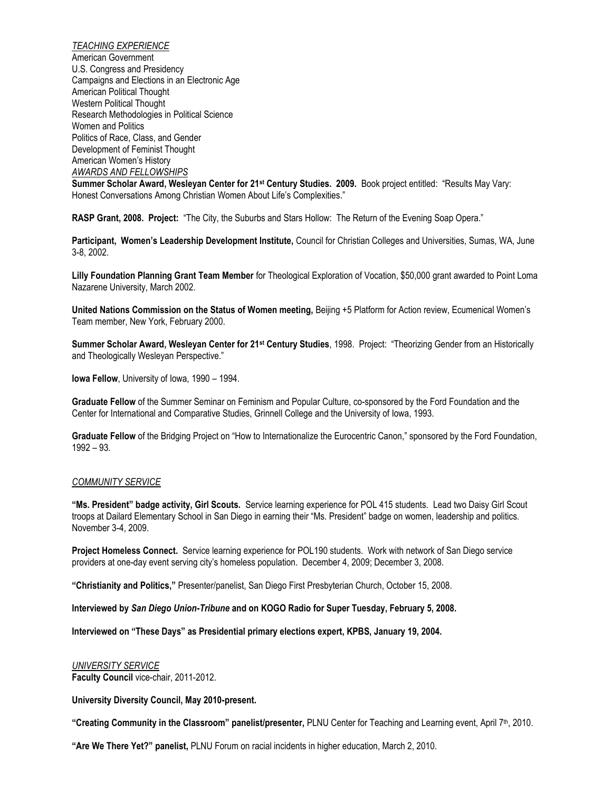*TEACHING EXPERIENCE* American Government U.S. Congress and Presidency Campaigns and Elections in an Electronic Age American Political Thought Western Political Thought Research Methodologies in Political Science Women and Politics Politics of Race, Class, and Gender Development of Feminist Thought American Women's History *AWARDS AND FELLOWSHIPS* **Summer Scholar Award, Wesleyan Center for 21st Century Studies. 2009.** Book project entitled: "Results May Vary: Honest Conversations Among Christian Women About Life's Complexities."

**RASP Grant, 2008. Project:** "The City, the Suburbs and Stars Hollow: The Return of the Evening Soap Opera."

**Participant, Women's Leadership Development Institute,** Council for Christian Colleges and Universities, Sumas, WA, June 3-8, 2002.

**Lilly Foundation Planning Grant Team Member** for Theological Exploration of Vocation, \$50,000 grant awarded to Point Loma Nazarene University, March 2002.

**United Nations Commission on the Status of Women meeting,** Beijing +5 Platform for Action review, Ecumenical Women's Team member, New York, February 2000.

**Summer Scholar Award, Wesleyan Center for 21st Century Studies**, 1998. Project: "Theorizing Gender from an Historically and Theologically Wesleyan Perspective."

**Iowa Fellow**, University of Iowa, 1990 – 1994.

**Graduate Fellow** of the Summer Seminar on Feminism and Popular Culture, co-sponsored by the Ford Foundation and the Center for International and Comparative Studies, Grinnell College and the University of Iowa, 1993.

**Graduate Fellow** of the Bridging Project on "How to Internationalize the Eurocentric Canon," sponsored by the Ford Foundation, 1992 – 93.

#### *COMMUNITY SERVICE*

**"Ms. President" badge activity, Girl Scouts.** Service learning experience for POL 415 students. Lead two Daisy Girl Scout troops at Dailard Elementary School in San Diego in earning their "Ms. President" badge on women, leadership and politics. November 3-4, 2009.

**Project Homeless Connect.** Service learning experience for POL190 students. Work with network of San Diego service providers at one-day event serving city's homeless population. December 4, 2009; December 3, 2008.

**"Christianity and Politics,"** Presenter/panelist, San Diego First Presbyterian Church, October 15, 2008.

**Interviewed by** *San Diego Union-Tribune* **and on KOGO Radio for Super Tuesday, February 5, 2008.**

**Interviewed on "These Days" as Presidential primary elections expert, KPBS, January 19, 2004.**

# *UNIVERSITY SERVICE*

**Faculty Council** vice-chair, 2011-2012.

**University Diversity Council, May 2010-present.**

**"Creating Community in the Classroom" panelist/presenter,** PLNU Center for Teaching and Learning event, April 7th, 2010.

**"Are We There Yet?" panelist,** PLNU Forum on racial incidents in higher education, March 2, 2010.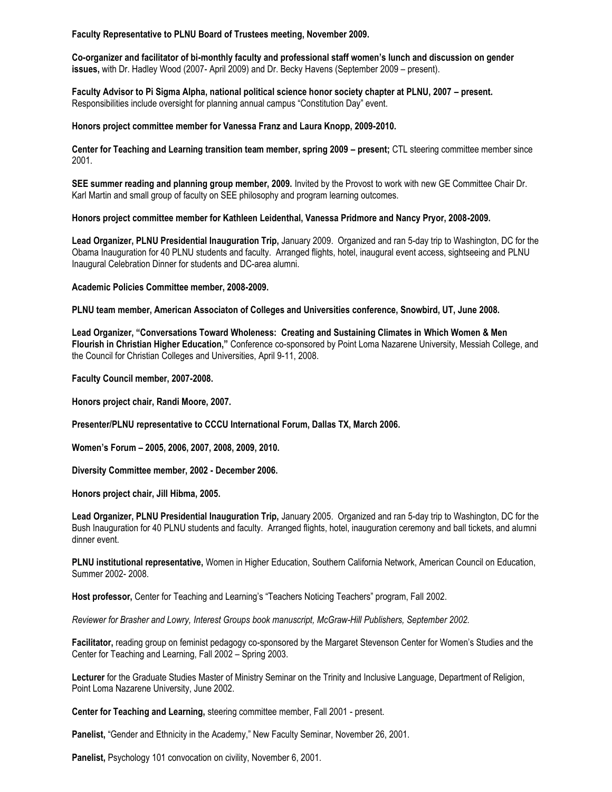**Faculty Representative to PLNU Board of Trustees meeting, November 2009.**

**Co-organizer and facilitator of bi-monthly faculty and professional staff women's lunch and discussion on gender issues,** with Dr. Hadley Wood (2007- April 2009) and Dr. Becky Havens (September 2009 – present).

**Faculty Advisor to Pi Sigma Alpha, national political science honor society chapter at PLNU, 2007 – present.** Responsibilities include oversight for planning annual campus "Constitution Day" event.

## **Honors project committee member for Vanessa Franz and Laura Knopp, 2009-2010.**

**Center for Teaching and Learning transition team member, spring 2009 – present; CTL steering committee member since** 2001.

**SEE summer reading and planning group member, 2009.** Invited by the Provost to work with new GE Committee Chair Dr. Karl Martin and small group of faculty on SEE philosophy and program learning outcomes.

#### **Honors project committee member for Kathleen Leidenthal, Vanessa Pridmore and Nancy Pryor, 2008-2009.**

**Lead Organizer, PLNU Presidential Inauguration Trip,** January 2009. Organized and ran 5-day trip to Washington, DC for the Obama Inauguration for 40 PLNU students and faculty. Arranged flights, hotel, inaugural event access, sightseeing and PLNU Inaugural Celebration Dinner for students and DC-area alumni.

#### **Academic Policies Committee member, 2008-2009.**

**PLNU team member, American Associaton of Colleges and Universities conference, Snowbird, UT, June 2008.**

**Lead Organizer, "Conversations Toward Wholeness: Creating and Sustaining Climates in Which Women & Men Flourish in Christian Higher Education,"** Conference co-sponsored by Point Loma Nazarene University, Messiah College, and the Council for Christian Colleges and Universities, April 9-11, 2008.

**Faculty Council member, 2007-2008.**

**Honors project chair, Randi Moore, 2007.**

**Presenter/PLNU representative to CCCU International Forum, Dallas TX, March 2006.**

**Women's Forum – 2005, 2006, 2007, 2008, 2009, 2010.**

**Diversity Committee member, 2002 - December 2006.** 

**Honors project chair, Jill Hibma, 2005.**

**Lead Organizer, PLNU Presidential Inauguration Trip,** January 2005. Organized and ran 5-day trip to Washington, DC for the Bush Inauguration for 40 PLNU students and faculty. Arranged flights, hotel, inauguration ceremony and ball tickets, and alumni dinner event.

**PLNU institutional representative,** Women in Higher Education, Southern California Network, American Council on Education, Summer 2002- 2008.

**Host professor,** Center for Teaching and Learning's "Teachers Noticing Teachers" program, Fall 2002.

*Reviewer for Brasher and Lowry, Interest Groups book manuscript, McGraw-Hill Publishers, September 2002.*

**Facilitator,** reading group on feminist pedagogy co-sponsored by the Margaret Stevenson Center for Women's Studies and the Center for Teaching and Learning, Fall 2002 – Spring 2003.

**Lecturer** for the Graduate Studies Master of Ministry Seminar on the Trinity and Inclusive Language, Department of Religion, Point Loma Nazarene University, June 2002.

**Center for Teaching and Learning,** steering committee member, Fall 2001 - present.

**Panelist,** "Gender and Ethnicity in the Academy," New Faculty Seminar, November 26, 2001.

**Panelist,** Psychology 101 convocation on civility, November 6, 2001.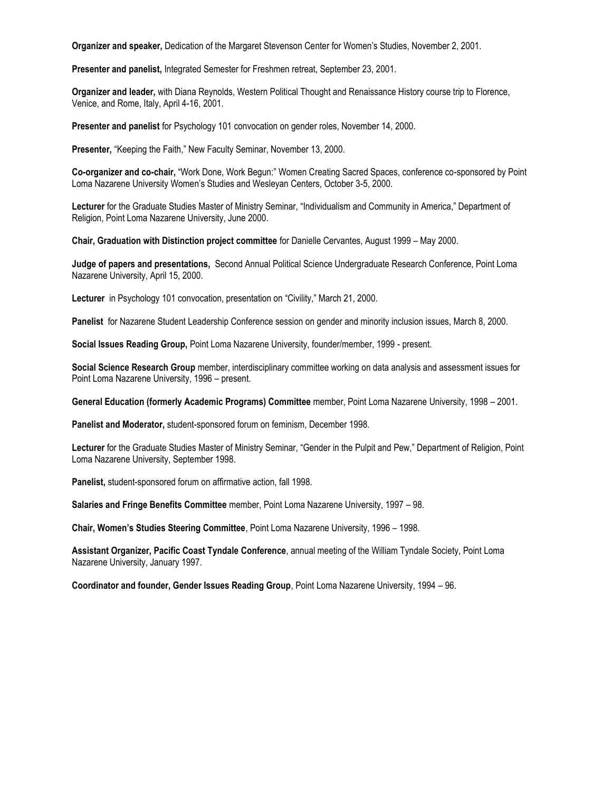**Organizer and speaker,** Dedication of the Margaret Stevenson Center for Women's Studies, November 2, 2001.

**Presenter and panelist,** Integrated Semester for Freshmen retreat, September 23, 2001.

**Organizer and leader,** with Diana Reynolds, Western Political Thought and Renaissance History course trip to Florence, Venice, and Rome, Italy, April 4-16, 2001.

**Presenter and panelist** for Psychology 101 convocation on gender roles, November 14, 2000.

**Presenter,** "Keeping the Faith," New Faculty Seminar, November 13, 2000.

**Co-organizer and co-chair,** "Work Done, Work Begun:" Women Creating Sacred Spaces, conference co-sponsored by Point Loma Nazarene University Women's Studies and Wesleyan Centers, October 3-5, 2000.

**Lecturer** for the Graduate Studies Master of Ministry Seminar, "Individualism and Community in America," Department of Religion, Point Loma Nazarene University, June 2000.

**Chair, Graduation with Distinction project committee** for Danielle Cervantes, August 1999 – May 2000.

**Judge of papers and presentations,** Second Annual Political Science Undergraduate Research Conference, Point Loma Nazarene University, April 15, 2000.

**Lecturer** in Psychology 101 convocation, presentation on "Civility," March 21, 2000.

**Panelist** for Nazarene Student Leadership Conference session on gender and minority inclusion issues, March 8, 2000.

**Social Issues Reading Group,** Point Loma Nazarene University, founder/member, 1999 - present.

**Social Science Research Group** member, interdisciplinary committee working on data analysis and assessment issues for Point Loma Nazarene University, 1996 – present.

**General Education (formerly Academic Programs) Committee** member, Point Loma Nazarene University, 1998 – 2001.

**Panelist and Moderator,** student-sponsored forum on feminism, December 1998.

**Lecturer** for the Graduate Studies Master of Ministry Seminar, "Gender in the Pulpit and Pew," Department of Religion, Point Loma Nazarene University, September 1998.

**Panelist,** student-sponsored forum on affirmative action, fall 1998.

**Salaries and Fringe Benefits Committee** member, Point Loma Nazarene University, 1997 – 98.

**Chair, Women's Studies Steering Committee**, Point Loma Nazarene University, 1996 – 1998.

**Assistant Organizer, Pacific Coast Tyndale Conference**, annual meeting of the William Tyndale Society, Point Loma Nazarene University, January 1997.

**Coordinator and founder, Gender Issues Reading Group**, Point Loma Nazarene University, 1994 – 96.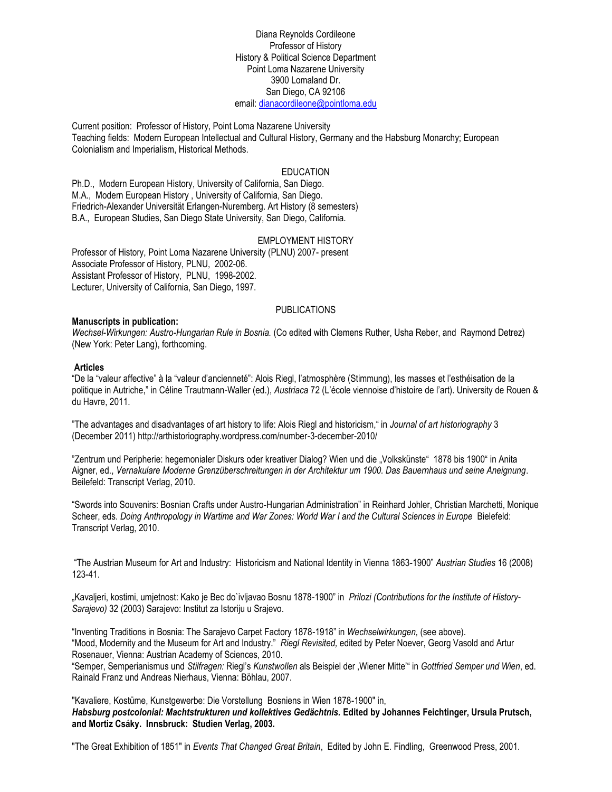Diana Reynolds Cordileone Professor of History History & Political Science Department Point Loma Nazarene University 3900 Lomaland Dr. San Diego, CA 92106 email: [dianacordileone@pointloma.edu](mailto:dianacordileone@pointloma.edu)

Current position: Professor of History, Point Loma Nazarene University Teaching fields: Modern European Intellectual and Cultural History, Germany and the Habsburg Monarchy; European Colonialism and Imperialism, Historical Methods.

### EDUCATION

Ph.D., Modern European History, University of California, San Diego. M.A., Modern European History , University of California, San Diego. Friedrich-Alexander Universität Erlangen-Nuremberg. Art History (8 semesters) B.A., European Studies, San Diego State University, San Diego, California.

## EMPLOYMENT HISTORY

Professor of History, Point Loma Nazarene University (PLNU) 2007- present Associate Professor of History, PLNU, 2002-06. Assistant Professor of History, PLNU, 1998-2002. Lecturer, University of California, San Diego, 1997.

### PUBLICATIONS

#### **Manuscripts in publication:**

*Wechsel-Wirkungen: Austro-Hungarian Rule in Bosnia.* (Co edited with Clemens Ruther, Usha Reber, and Raymond Detrez) (New York: Peter Lang), forthcoming.

#### **Articles**

"De la "valeur affective" à la "valeur d'ancienneté": Alois Riegl, l'atmosphère (Stimmung), les masses et l'esthéisation de la politique in Autriche," in Céline Trautmann-Waller (ed.), *Austriaca* 72 (L'école viennoise d'histoire de l'art). University de Rouen & du Havre, 2011.

"The advantages and disadvantages of art history to life: Alois Riegl and historicism," in *Journal of art historiography* 3 (December 2011) http://arthistoriography.wordpress.com/number-3-december-2010/

"Zentrum und Peripherie: hegemonialer Diskurs oder kreativer Dialog? Wien und die "Volkskünste" 1878 bis 1900" in Anita Aigner, ed., *Vernakulare Moderne Grenzüberschreitungen in der Architektur um 1900. Das Bauernhaus und seine Aneignung*. Beilefeld: Transcript Verlag, 2010.

"Swords into Souvenirs: Bosnian Crafts under Austro-Hungarian Administration" in Reinhard Johler, Christian Marchetti, Monique Scheer, eds. *Doing Anthropology in Wartime and War Zones: World War I and the Cultural Sciences in Europe* Bielefeld: Transcript Verlag, 2010.

"The Austrian Museum for Art and Industry: Historicism and National Identity in Vienna 1863-1900" *Austrian Studies* 16 (2008) 123-41.

"Kavaljeri, kostimi, umjetnost: Kako je Bec do`ivljavao Bosnu 1878-1900" in *Prilozi (Contributions for the Institute of History-Sarajevo)* 32 (2003) Sarajevo: Institut za Istoriju u Srajevo.

"Inventing Traditions in Bosnia: The Sarajevo Carpet Factory 1878-1918" in *Wechselwirkungen,* (see above). "Mood, Modernity and the Museum for Art and Industry." *Riegl Revisited,* edited by Peter Noever, Georg Vasold and Artur Rosenauer, Vienna: Austrian Academy of Sciences, 2010.

"Semper, Semperianismus und *Stilfragen:* Riegl's *Kunstwollen* als Beispiel der 'Wiener Mitte'" in *Gottfried Semper und Wien*, ed. Rainald Franz und Andreas Nierhaus, Vienna: Böhlau, 2007.

"Kavaliere, Kostüme, Kunstgewerbe: Die Vorstellung Bosniens in Wien 1878-1900" in, *Habsburg postcolonial: Machtstrukturen und kollektives Gedächtnis.* **Edited by Johannes Feichtinger, Ursula Prutsch, and Mortiz Csáky. Innsbruck: Studien Verlag, 2003.** 

"The Great Exhibition of 1851" in *Events That Changed Great Britain*, Edited by John E. Findling, Greenwood Press, 2001.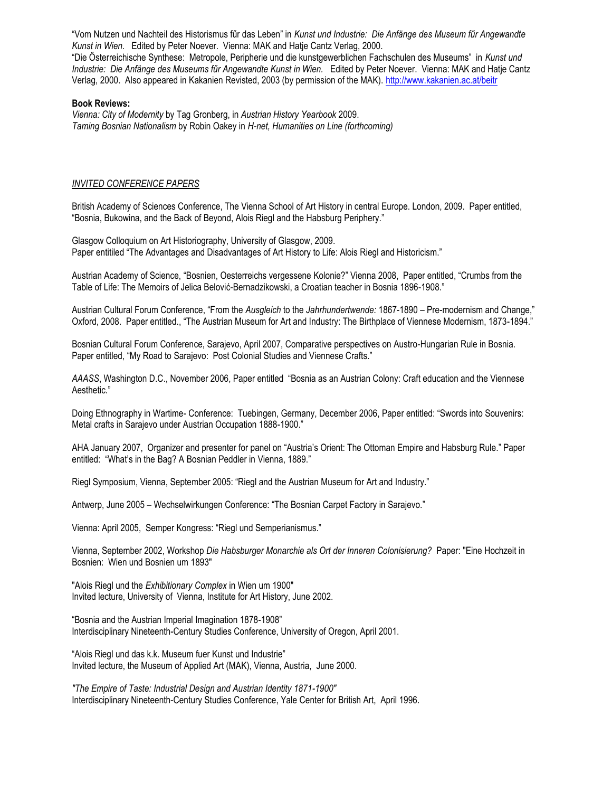"Vom Nutzen und Nachteil des Historismus fűr das Leben" in *Kunst und Industrie: Die Anfänge des Museum fűr Angewandte Kunst in Wien.* Edited by Peter Noever. Vienna: MAK and Hatje Cantz Verlag, 2000. "Die Ősterreichische Synthese: Metropole, Peripherie und die kunstgewerblichen Fachschulen des Museums" in *Kunst und*  Industrie: Die Anfänge des Museums für Angewandte Kunst in Wien. Edited by Peter Noever. Vienna: MAK and Hatje Cantz Verlag, 2000. Also appeared in Kakanien Revisted, 2003 (by permission of the MAK).<http://www.kakanien.ac.at/beitr>

#### **Book Reviews:**

*Vienna: City of Modernity* by Tag Gronberg, in *Austrian History Yearbook* 2009. *Taming Bosnian Nationalism* by Robin Oakey in *H-net, Humanities on Line (forthcoming)*

#### *INVITED CONFERENCE PAPERS*

British Academy of Sciences Conference, The Vienna School of Art History in central Europe. London, 2009. Paper entitled, "Bosnia, Bukowina, and the Back of Beyond, Alois Riegl and the Habsburg Periphery."

Glasgow Colloquium on Art Historiography, University of Glasgow, 2009. Paper entitiled "The Advantages and Disadvantages of Art History to Life: Alois Riegl and Historicism."

Austrian Academy of Science, "Bosnien, Oesterreichs vergessene Kolonie?" Vienna 2008, Paper entitled, "Crumbs from the Table of Life: The Memoirs of Jelica Belović-Bernadzikowski, a Croatian teacher in Bosnia 1896-1908."

Austrian Cultural Forum Conference, "From the *Ausgleich* to the *Jahrhundertwende:* 1867-1890 – Pre-modernism and Change," Oxford, 2008. Paper entitled., "The Austrian Museum for Art and Industry: The Birthplace of Viennese Modernism, 1873-1894."

Bosnian Cultural Forum Conference, Sarajevo, April 2007, Comparative perspectives on Austro-Hungarian Rule in Bosnia. Paper entitled, "My Road to Sarajevo: Post Colonial Studies and Viennese Crafts."

*AAASS*, Washington D.C., November 2006, Paper entitled "Bosnia as an Austrian Colony: Craft education and the Viennese Aesthetic."

Doing Ethnography in Wartime- Conference: Tuebingen, Germany, December 2006, Paper entitled: "Swords into Souvenirs: Metal crafts in Sarajevo under Austrian Occupation 1888-1900."

AHA January 2007, Organizer and presenter for panel on "Austria's Orient: The Ottoman Empire and Habsburg Rule." Paper entitled: "What's in the Bag? A Bosnian Peddler in Vienna, 1889."

Riegl Symposium, Vienna, September 2005: "Riegl and the Austrian Museum for Art and Industry."

Antwerp, June 2005 – Wechselwirkungen Conference: "The Bosnian Carpet Factory in Sarajevo."

Vienna: April 2005, Semper Kongress: "Riegl und Semperianismus."

Vienna, September 2002, Workshop *Die Habsburger Monarchie als Ort der Inneren Colonisierung?* Paper: "Eine Hochzeit in Bosnien: Wien und Bosnien um 1893"

"Alois Riegl und the *Exhibitionary Complex* in Wien um 1900" Invited lecture, University of Vienna, Institute for Art History, June 2002.

"Bosnia and the Austrian Imperial Imagination 1878-1908" Interdisciplinary Nineteenth-Century Studies Conference, University of Oregon, April 2001.

"Alois Riegl und das k.k. Museum fuer Kunst und Industrie" Invited lecture, the Museum of Applied Art (MAK), Vienna, Austria, June 2000.

*"The Empire of Taste: Industrial Design and Austrian Identity 1871-1900"*  Interdisciplinary Nineteenth-Century Studies Conference, Yale Center for British Art, April 1996.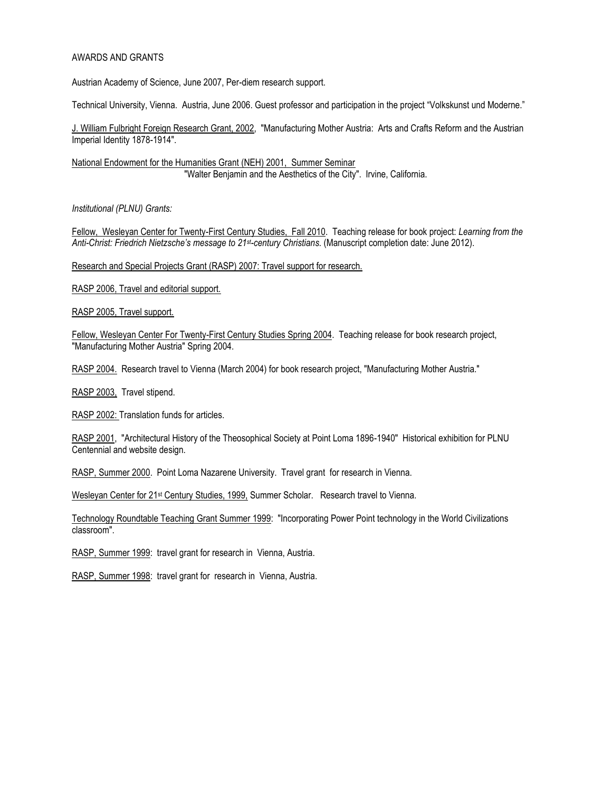## AWARDS AND GRANTS

Austrian Academy of Science, June 2007, Per-diem research support.

Technical University, Vienna. Austria, June 2006. Guest professor and participation in the project "Volkskunst und Moderne."

J. William Fulbright Foreign Research Grant, 2002, "Manufacturing Mother Austria: Arts and Crafts Reform and the Austrian Imperial Identity 1878-1914".

National Endowment for the Humanities Grant (NEH) 2001, Summer Seminar "Walter Benjamin and the Aesthetics of the City". Irvine, California.

*Institutional (PLNU) Grants:*

Fellow, Wesleyan Center for Twenty-First Century Studies, Fall 2010. Teaching release for book project: *Learning from the Anti-Christ: Friedrich Nietzsche's message to 21st-century Christians.* (Manuscript completion date: June 2012).

Research and Special Projects Grant (RASP) 2007: Travel support for research.

RASP 2006, Travel and editorial support.

RASP 2005, Travel support.

Fellow, Wesleyan Center For Twenty-First Century Studies Spring 2004. Teaching release for book research project, "Manufacturing Mother Austria" Spring 2004.

RASP 2004. Research travel to Vienna (March 2004) for book research project, "Manufacturing Mother Austria."

RASP 2003, Travel stipend.

RASP 2002: Translation funds for articles.

RASP 2001, "Architectural History of the Theosophical Society at Point Loma 1896-1940" Historical exhibition for PLNU Centennial and website design.

RASP, Summer 2000. Point Loma Nazarene University. Travel grant for research in Vienna.

Wesleyan Center for 21<sup>st</sup> Century Studies, 1999, Summer Scholar. Research travel to Vienna.

Technology Roundtable Teaching Grant Summer 1999: "Incorporating Power Point technology in the World Civilizations classroom".

RASP, Summer 1999: travel grant for research in Vienna, Austria.

RASP, Summer 1998: travel grant for research in Vienna, Austria.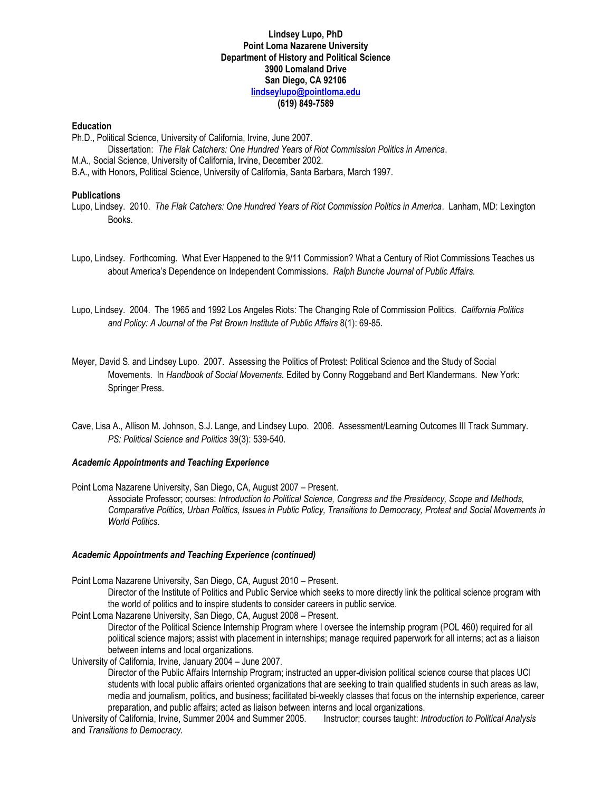## **Lindsey Lupo, PhD Point Loma Nazarene University Department of History and Political Science 3900 Lomaland Drive San Diego, CA 92106 [lindseylupo@pointloma.edu](mailto:lindseylupo@pointloma.edu) (619) 849-7589**

#### **Education**

Ph.D., Political Science, University of California, Irvine, June 2007.

Dissertation: *The Flak Catchers: One Hundred Years of Riot Commission Politics in America*. M.A., Social Science, University of California, Irvine, December 2002. B.A., with Honors, Political Science, University of California, Santa Barbara, March 1997.

## **Publications**

Lupo, Lindsey. 2010. *The Flak Catchers: One Hundred Years of Riot Commission Politics in America*. Lanham, MD: Lexington Books.

- Lupo, Lindsey. Forthcoming. What Ever Happened to the 9/11 Commission? What a Century of Riot Commissions Teaches us about America's Dependence on Independent Commissions. *Ralph Bunche Journal of Public Affairs.*
- Lupo, Lindsey. 2004. The 1965 and 1992 Los Angeles Riots: The Changing Role of Commission Politics. *California Politics and Policy: A Journal of the Pat Brown Institute of Public Affairs* 8(1): 69-85.
- Meyer, David S. and Lindsey Lupo. 2007. Assessing the Politics of Protest: Political Science and the Study of Social Movements. In *Handbook of Social Movements.* Edited by Conny Roggeband and Bert Klandermans. New York: Springer Press.
- Cave, Lisa A., Allison M. Johnson, S.J. Lange, and Lindsey Lupo. 2006. Assessment/Learning Outcomes III Track Summary. *PS: Political Science and Politics* 39(3): 539-540.

## *Academic Appointments and Teaching Experience*

Point Loma Nazarene University, San Diego, CA, August 2007 – Present.

Associate Professor; courses: *Introduction to Political Science, Congress and the Presidency, Scope and Methods, Comparative Politics, Urban Politics, Issues in Public Policy, Transitions to Democracy, Protest and Social Movements in World Politics*.

#### *Academic Appointments and Teaching Experience (continued)*

Point Loma Nazarene University, San Diego, CA, August 2010 – Present.

Director of the Institute of Politics and Public Service which seeks to more directly link the political science program with the world of politics and to inspire students to consider careers in public service.

Point Loma Nazarene University, San Diego, CA, August 2008 – Present.

Director of the Political Science Internship Program where I oversee the internship program (POL 460) required for all political science majors; assist with placement in internships; manage required paperwork for all interns; act as a liaison between interns and local organizations.

University of California, Irvine, January 2004 – June 2007.

Director of the Public Affairs Internship Program; instructed an upper-division political science course that places UCI students with local public affairs oriented organizations that are seeking to train qualified students in such areas as law, media and journalism, politics, and business; facilitated bi-weekly classes that focus on the internship experience, career preparation, and public affairs; acted as liaison between interns and local organizations.

University of California, Irvine, Summer 2004 and Summer 2005. Instructor; courses taught: *Introduction to Political Analysis* and *Transitions to Democracy.*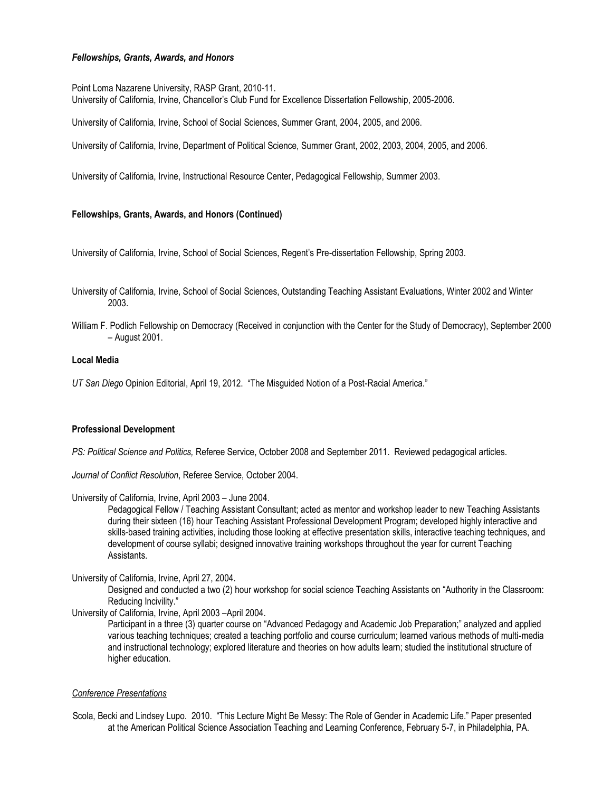## *Fellowships, Grants, Awards, and Honors*

Point Loma Nazarene University, RASP Grant, 2010-11. University of California, Irvine, Chancellor's Club Fund for Excellence Dissertation Fellowship, 2005-2006.

University of California, Irvine, School of Social Sciences, Summer Grant, 2004, 2005, and 2006.

University of California, Irvine, Department of Political Science, Summer Grant, 2002, 2003, 2004, 2005, and 2006.

University of California, Irvine, Instructional Resource Center, Pedagogical Fellowship, Summer 2003.

## **Fellowships, Grants, Awards, and Honors (Continued)**

University of California, Irvine, School of Social Sciences, Regent's Pre-dissertation Fellowship, Spring 2003.

- University of California, Irvine, School of Social Sciences, Outstanding Teaching Assistant Evaluations, Winter 2002 and Winter 2003.
- William F. Podlich Fellowship on Democracy (Received in conjunction with the Center for the Study of Democracy), September 2000 – August 2001.

### **Local Media**

*UT San Diego* Opinion Editorial, April 19, 2012. "The Misguided Notion of a Post-Racial America."

## **Professional Development**

*PS: Political Science and Politics,* Referee Service, October 2008 and September 2011. Reviewed pedagogical articles.

*Journal of Conflict Resolution*, Referee Service, October 2004.

University of California, Irvine, April 2003 – June 2004.

Pedagogical Fellow / Teaching Assistant Consultant; acted as mentor and workshop leader to new Teaching Assistants during their sixteen (16) hour Teaching Assistant Professional Development Program; developed highly interactive and skills-based training activities, including those looking at effective presentation skills, interactive teaching techniques, and development of course syllabi; designed innovative training workshops throughout the year for current Teaching Assistants.

#### University of California, Irvine, April 27, 2004.

Designed and conducted a two (2) hour workshop for social science Teaching Assistants on "Authority in the Classroom: Reducing Incivility."

University of California, Irvine, April 2003 –April 2004.

Participant in a three (3) quarter course on "Advanced Pedagogy and Academic Job Preparation;" analyzed and applied various teaching techniques; created a teaching portfolio and course curriculum; learned various methods of multi-media and instructional technology; explored literature and theories on how adults learn; studied the institutional structure of higher education.

## *Conference Presentations*

Scola, Becki and Lindsey Lupo. 2010. "This Lecture Might Be Messy: The Role of Gender in Academic Life." Paper presented at the American Political Science Association Teaching and Learning Conference, February 5-7, in Philadelphia, PA.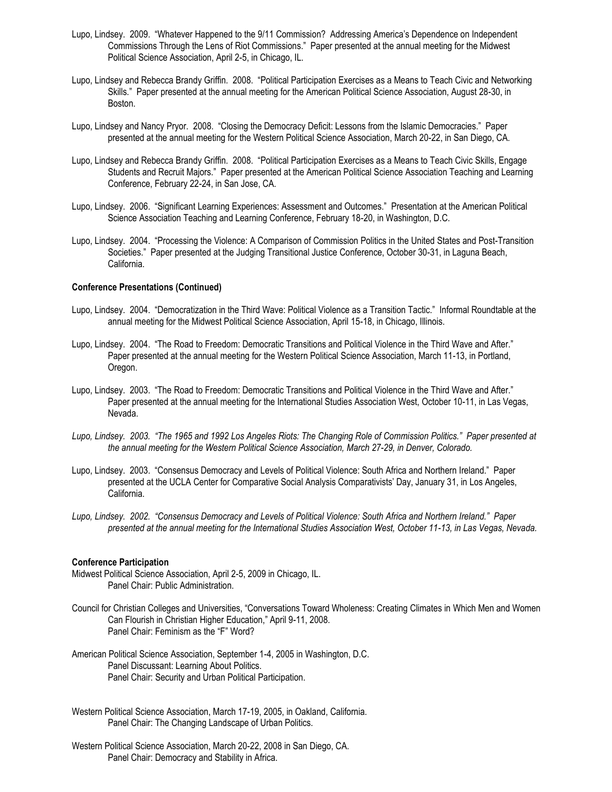- Lupo, Lindsey. 2009. "Whatever Happened to the 9/11 Commission? Addressing America's Dependence on Independent Commissions Through the Lens of Riot Commissions." Paper presented at the annual meeting for the Midwest Political Science Association, April 2-5, in Chicago, IL.
- Lupo, Lindsey and Rebecca Brandy Griffin. 2008. "Political Participation Exercises as a Means to Teach Civic and Networking Skills." Paper presented at the annual meeting for the American Political Science Association, August 28-30, in Boston.
- Lupo, Lindsey and Nancy Pryor. 2008. "Closing the Democracy Deficit: Lessons from the Islamic Democracies." Paper presented at the annual meeting for the Western Political Science Association, March 20-22, in San Diego, CA.
- Lupo, Lindsey and Rebecca Brandy Griffin. 2008. "Political Participation Exercises as a Means to Teach Civic Skills, Engage Students and Recruit Majors." Paper presented at the American Political Science Association Teaching and Learning Conference, February 22-24, in San Jose, CA.
- Lupo, Lindsey. 2006. "Significant Learning Experiences: Assessment and Outcomes." Presentation at the American Political Science Association Teaching and Learning Conference, February 18-20, in Washington, D.C.
- Lupo, Lindsey. 2004. "Processing the Violence: A Comparison of Commission Politics in the United States and Post-Transition Societies." Paper presented at the Judging Transitional Justice Conference, October 30-31, in Laguna Beach, California.

#### **Conference Presentations (Continued)**

- Lupo, Lindsey. 2004. "Democratization in the Third Wave: Political Violence as a Transition Tactic." Informal Roundtable at the annual meeting for the Midwest Political Science Association, April 15-18, in Chicago, Illinois.
- Lupo, Lindsey. 2004. "The Road to Freedom: Democratic Transitions and Political Violence in the Third Wave and After." Paper presented at the annual meeting for the Western Political Science Association, March 11-13, in Portland, Oregon.
- Lupo, Lindsey. 2003. "The Road to Freedom: Democratic Transitions and Political Violence in the Third Wave and After." Paper presented at the annual meeting for the International Studies Association West, October 10-11, in Las Vegas, Nevada.
- *Lupo, Lindsey. 2003. "The 1965 and 1992 Los Angeles Riots: The Changing Role of Commission Politics." Paper presented at the annual meeting for the Western Political Science Association, March 27-29, in Denver, Colorado.*
- Lupo, Lindsey. 2003. "Consensus Democracy and Levels of Political Violence: South Africa and Northern Ireland." Paper presented at the UCLA Center for Comparative Social Analysis Comparativists' Day, January 31, in Los Angeles, California.
- *Lupo, Lindsey. 2002. "Consensus Democracy and Levels of Political Violence: South Africa and Northern Ireland." Paper presented at the annual meeting for the International Studies Association West, October 11-13, in Las Vegas, Nevada.*

#### **Conference Participation**

- Midwest Political Science Association, April 2-5, 2009 in Chicago, IL. Panel Chair: Public Administration.
- Council for Christian Colleges and Universities, "Conversations Toward Wholeness: Creating Climates in Which Men and Women Can Flourish in Christian Higher Education," April 9-11, 2008. Panel Chair: Feminism as the "F" Word?
- American Political Science Association, September 1-4, 2005 in Washington, D.C. Panel Discussant: Learning About Politics. Panel Chair: Security and Urban Political Participation.
- Western Political Science Association, March 17-19, 2005, in Oakland, California. Panel Chair: The Changing Landscape of Urban Politics.
- Western Political Science Association, March 20-22, 2008 in San Diego, CA. Panel Chair: Democracy and Stability in Africa.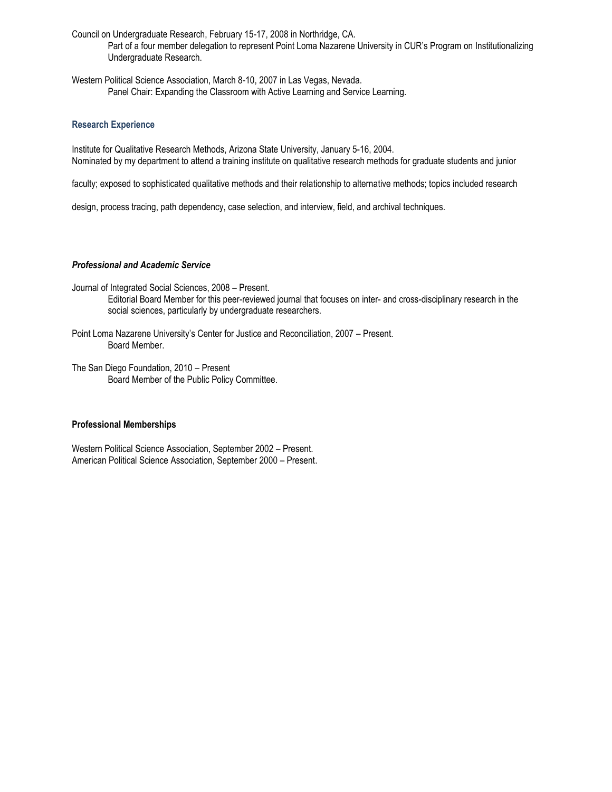Council on Undergraduate Research, February 15-17, 2008 in Northridge, CA. Part of a four member delegation to represent Point Loma Nazarene University in CUR's Program on Institutionalizing Undergraduate Research.

Western Political Science Association, March 8-10, 2007 in Las Vegas, Nevada. Panel Chair: Expanding the Classroom with Active Learning and Service Learning.

## **Research Experience**

Institute for Qualitative Research Methods, Arizona State University, January 5-16, 2004. Nominated by my department to attend a training institute on qualitative research methods for graduate students and junior

faculty; exposed to sophisticated qualitative methods and their relationship to alternative methods; topics included research

design, process tracing, path dependency, case selection, and interview, field, and archival techniques.

## *Professional and Academic Service*

- Journal of Integrated Social Sciences, 2008 Present. Editorial Board Member for this peer-reviewed journal that focuses on inter- and cross-disciplinary research in the social sciences, particularly by undergraduate researchers.
- Point Loma Nazarene University's Center for Justice and Reconciliation, 2007 Present. Board Member.
- The San Diego Foundation, 2010 Present Board Member of the Public Policy Committee.

## **Professional Memberships**

Western Political Science Association, September 2002 – Present. American Political Science Association, September 2000 – Present.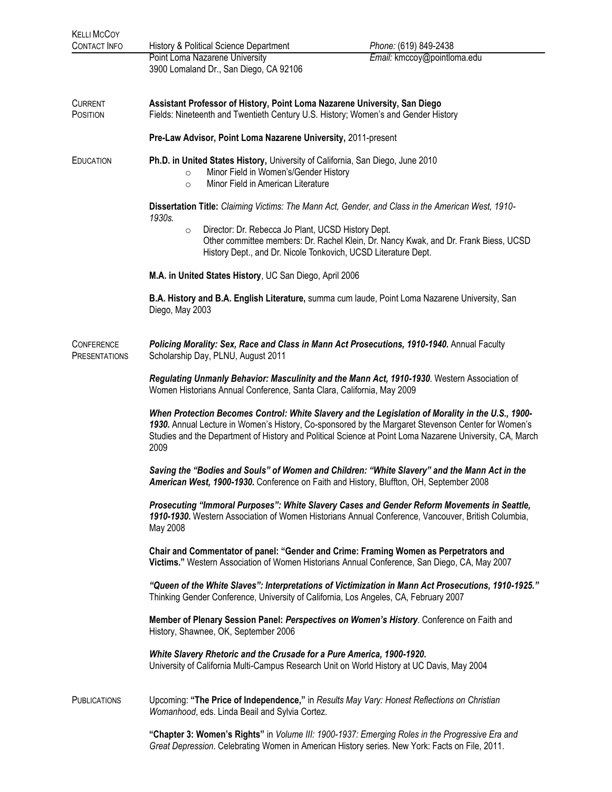| <b>KELLI MCCOY</b><br>CONTACT INFO | History & Political Science Department                                                                                                                                                                                                                                                                                      | Phone: (619) 849-2438       |  |  |
|------------------------------------|-----------------------------------------------------------------------------------------------------------------------------------------------------------------------------------------------------------------------------------------------------------------------------------------------------------------------------|-----------------------------|--|--|
|                                    | Point Loma Nazarene University<br>3900 Lomaland Dr., San Diego, CA 92106                                                                                                                                                                                                                                                    | Email: kmccoy@pointloma.edu |  |  |
| CURRENT<br>POSITION                | Assistant Professor of History, Point Loma Nazarene University, San Diego<br>Fields: Nineteenth and Twentieth Century U.S. History; Women's and Gender History                                                                                                                                                              |                             |  |  |
|                                    | Pre-Law Advisor, Point Loma Nazarene University, 2011-present                                                                                                                                                                                                                                                               |                             |  |  |
| EDUCATION                          | Ph.D. in United States History, University of California, San Diego, June 2010<br>Minor Field in Women's/Gender History<br>$\circ$<br>Minor Field in American Literature<br>$\circ$                                                                                                                                         |                             |  |  |
|                                    | Dissertation Title: Claiming Victims: The Mann Act, Gender, and Class in the American West, 1910-<br>1930s.                                                                                                                                                                                                                 |                             |  |  |
|                                    | Director: Dr. Rebecca Jo Plant, UCSD History Dept.<br>$\circ$<br>Other committee members: Dr. Rachel Klein, Dr. Nancy Kwak, and Dr. Frank Biess, UCSD<br>History Dept., and Dr. Nicole Tonkovich, UCSD Literature Dept.                                                                                                     |                             |  |  |
|                                    | M.A. in United States History, UC San Diego, April 2006                                                                                                                                                                                                                                                                     |                             |  |  |
|                                    | B.A. History and B.A. English Literature, summa cum laude, Point Loma Nazarene University, San<br>Diego, May 2003                                                                                                                                                                                                           |                             |  |  |
| CONFERENCE<br>PRESENTATIONS        | Policing Morality: Sex, Race and Class in Mann Act Prosecutions, 1910-1940. Annual Faculty<br>Scholarship Day, PLNU, August 2011                                                                                                                                                                                            |                             |  |  |
|                                    | Regulating Unmanly Behavior: Masculinity and the Mann Act, 1910-1930. Western Association of<br>Women Historians Annual Conference, Santa Clara, California, May 2009                                                                                                                                                       |                             |  |  |
|                                    | When Protection Becomes Control: White Slavery and the Legislation of Morality in the U.S., 1900-<br>1930. Annual Lecture in Women's History, Co-sponsored by the Margaret Stevenson Center for Women's<br>Studies and the Department of History and Political Science at Point Loma Nazarene University, CA, March<br>2009 |                             |  |  |
|                                    | Saving the "Bodies and Souls" of Women and Children: "White Slavery" and the Mann Act in the<br>American West, 1900-1930. Conference on Faith and History, Bluffton, OH, September 2008                                                                                                                                     |                             |  |  |
|                                    | Prosecuting "Immoral Purposes": White Slavery Cases and Gender Reform Movements in Seattle,<br>1910-1930. Western Association of Women Historians Annual Conference, Vancouver, British Columbia,<br>May 2008                                                                                                               |                             |  |  |
|                                    | Chair and Commentator of panel: "Gender and Crime: Framing Women as Perpetrators and<br>Victims." Western Association of Women Historians Annual Conference, San Diego, CA, May 2007                                                                                                                                        |                             |  |  |
|                                    | "Queen of the White Slaves": Interpretations of Victimization in Mann Act Prosecutions, 1910-1925."<br>Thinking Gender Conference, University of California, Los Angeles, CA, February 2007                                                                                                                                 |                             |  |  |
|                                    | Member of Plenary Session Panel: Perspectives on Women's History. Conference on Faith and<br>History, Shawnee, OK, September 2006                                                                                                                                                                                           |                             |  |  |
|                                    | White Slavery Rhetoric and the Crusade for a Pure America, 1900-1920.<br>University of California Multi-Campus Research Unit on World History at UC Davis, May 2004                                                                                                                                                         |                             |  |  |
| <b>PUBLICATIONS</b>                | Upcoming: "The Price of Independence," in Results May Vary: Honest Reflections on Christian<br>Womanhood, eds. Linda Beail and Sylvia Cortez.                                                                                                                                                                               |                             |  |  |
|                                    | "Chapter 3: Women's Rights" in Volume III: 1900-1937: Emerging Roles in the Progressive Era and                                                                                                                                                                                                                             |                             |  |  |

*Great Depression*. Celebrating Women in American History series. New York: Facts on File, 2011.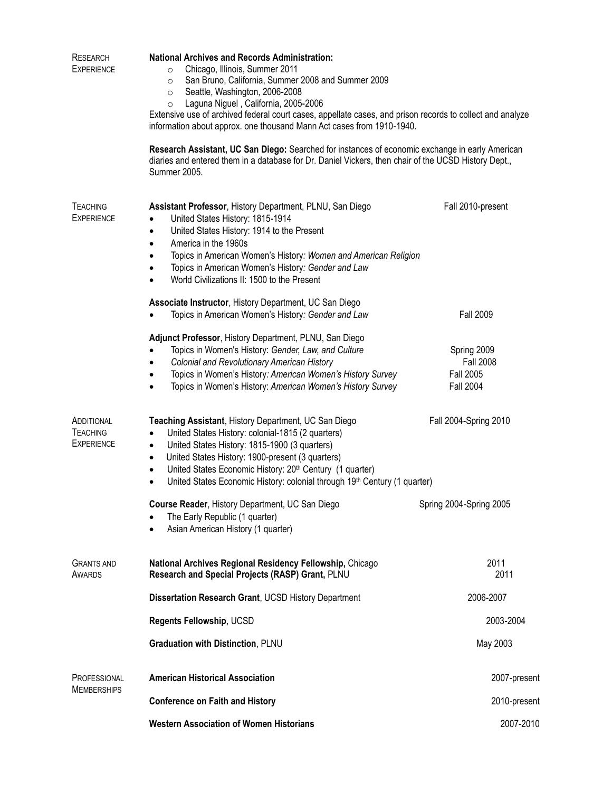| <b>RESEARCH</b><br><b>EXPERIENCE</b>               | <b>National Archives and Records Administration:</b><br>Chicago, Illinois, Summer 2011<br>$\circ$<br>San Bruno, California, Summer 2008 and Summer 2009<br>$\circ$<br>Seattle, Washington, 2006-2008<br>$\circ$<br>Laguna Niguel, California, 2005-2006<br>$\circ$<br>Extensive use of archived federal court cases, appellate cases, and prison records to collect and analyze<br>information about approx. one thousand Mann Act cases from 1910-1940. |                                                                         |  |
|----------------------------------------------------|----------------------------------------------------------------------------------------------------------------------------------------------------------------------------------------------------------------------------------------------------------------------------------------------------------------------------------------------------------------------------------------------------------------------------------------------------------|-------------------------------------------------------------------------|--|
|                                                    | Research Assistant, UC San Diego: Searched for instances of economic exchange in early American<br>diaries and entered them in a database for Dr. Daniel Vickers, then chair of the UCSD History Dept.,<br>Summer 2005.                                                                                                                                                                                                                                  |                                                                         |  |
| <b>TEACHING</b><br><b>EXPERIENCE</b>               | Assistant Professor, History Department, PLNU, San Diego<br>United States History: 1815-1914<br>United States History: 1914 to the Present<br>$\bullet$<br>America in the 1960s<br>$\bullet$<br>Topics in American Women's History: Women and American Religion<br>Topics in American Women's History: Gender and Law<br>$\bullet$<br>World Civilizations II: 1500 to the Present                                                                        | Fall 2010-present                                                       |  |
|                                                    | Associate Instructor, History Department, UC San Diego<br>Topics in American Women's History: Gender and Law                                                                                                                                                                                                                                                                                                                                             | <b>Fall 2009</b>                                                        |  |
|                                                    | Adjunct Professor, History Department, PLNU, San Diego<br>Topics in Women's History: Gender, Law, and Culture<br>Colonial and Revolutionary American History<br>$\bullet$<br>Topics in Women's History: American Women's History Survey<br>٠<br>Topics in Women's History: American Women's History Survey<br>$\bullet$                                                                                                                                  | Spring 2009<br><b>Fall 2008</b><br><b>Fall 2005</b><br><b>Fall 2004</b> |  |
| ADDITIONAL<br><b>TEACHING</b><br><b>EXPERIENCE</b> | Teaching Assistant, History Department, UC San Diego<br>United States History: colonial-1815 (2 quarters)<br>$\bullet$<br>United States History: 1815-1900 (3 quarters)<br>$\bullet$<br>United States History: 1900-present (3 quarters)<br>$\bullet$<br>United States Economic History: 20th Century (1 quarter)<br>$\bullet$<br>United States Economic History: colonial through 19th Century (1 quarter)<br>٠                                         | Fall 2004-Spring 2010                                                   |  |
|                                                    | Course Reader, History Department, UC San Diego<br>The Early Republic (1 quarter)<br>Asian American History (1 quarter)<br>$\bullet$                                                                                                                                                                                                                                                                                                                     | Spring 2004-Spring 2005                                                 |  |
| <b>GRANTS AND</b><br><b>AWARDS</b>                 | National Archives Regional Residency Fellowship, Chicago<br>Research and Special Projects (RASP) Grant, PLNU                                                                                                                                                                                                                                                                                                                                             | 2011<br>2011                                                            |  |
|                                                    | Dissertation Research Grant, UCSD History Department                                                                                                                                                                                                                                                                                                                                                                                                     | 2006-2007                                                               |  |
|                                                    | Regents Fellowship, UCSD                                                                                                                                                                                                                                                                                                                                                                                                                                 | 2003-2004                                                               |  |
|                                                    | <b>Graduation with Distinction, PLNU</b>                                                                                                                                                                                                                                                                                                                                                                                                                 | May 2003                                                                |  |
| PROFESSIONAL<br><b>MEMBERSHIPS</b>                 | <b>American Historical Association</b>                                                                                                                                                                                                                                                                                                                                                                                                                   | 2007-present                                                            |  |
|                                                    | <b>Conference on Faith and History</b>                                                                                                                                                                                                                                                                                                                                                                                                                   | 2010-present                                                            |  |
|                                                    | <b>Western Association of Women Historians</b>                                                                                                                                                                                                                                                                                                                                                                                                           | 2007-2010                                                               |  |